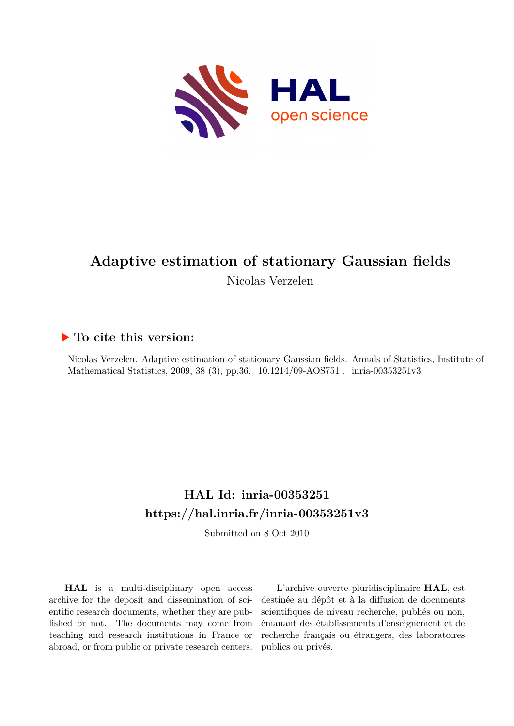

# **Adaptive estimation of stationary Gaussian fields**

Nicolas Verzelen

## **To cite this version:**

Nicolas Verzelen. Adaptive estimation of stationary Gaussian fields. Annals of Statistics, Institute of Mathematical Statistics, 2009, 38 (3), pp.36. 10.1214/09-AOS751 minia-00353251v3

## **HAL Id: inria-00353251 <https://hal.inria.fr/inria-00353251v3>**

Submitted on 8 Oct 2010

**HAL** is a multi-disciplinary open access archive for the deposit and dissemination of scientific research documents, whether they are published or not. The documents may come from teaching and research institutions in France or abroad, or from public or private research centers.

L'archive ouverte pluridisciplinaire **HAL**, est destinée au dépôt et à la diffusion de documents scientifiques de niveau recherche, publiés ou non, émanant des établissements d'enseignement et de recherche français ou étrangers, des laboratoires publics ou privés.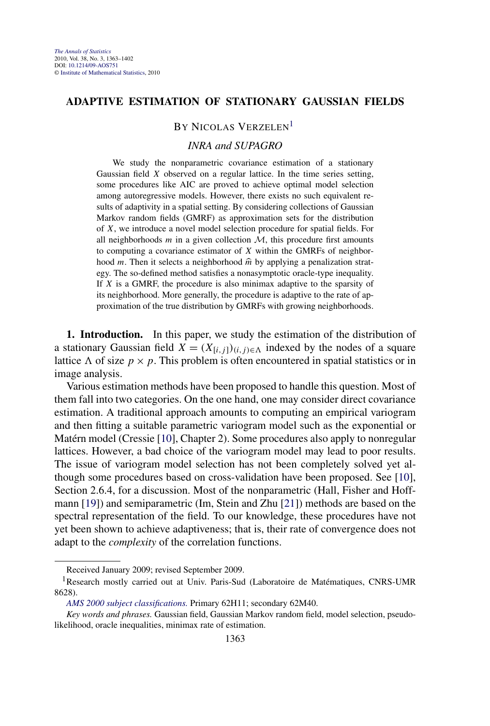## **ADAPTIVE ESTIMATION OF STATIONARY GAUSSIAN FIELDS**

## BY NICOLAS VERZELEN<sup>1</sup>

#### *INRA and SUPAGRO*

We study the nonparametric covariance estimation of a stationary Gaussian field *X* observed on a regular lattice. In the time series setting, some procedures like AIC are proved to achieve optimal model selection among autoregressive models. However, there exists no such equivalent results of adaptivity in a spatial setting. By considering collections of Gaussian Markov random fields (GMRF) as approximation sets for the distribution of *X*, we introduce a novel model selection procedure for spatial fields. For all neighborhoods  $m$  in a given collection  $M$ , this procedure first amounts to computing a covariance estimator of *X* within the GMRFs of neighborhood *m*. Then it selects a neighborhood  $\hat{m}$  by applying a penalization strategy. The so-defined method satisfies a nonasymptotic oracle-type inequality. If *X* is a GMRF, the procedure is also minimax adaptive to the sparsity of its neighborhood. More generally, the procedure is adaptive to the rate of approximation of the true distribution by GMRFs with growing neighborhoods.

**1. Introduction.** In this paper, we study the estimation of the distribution of a stationary Gaussian field  $X = (X_{[i,j]})_{(i,j) \in \Lambda}$  indexed by the nodes of a square lattice  $\Lambda$  of size  $p \times p$ . This problem is often encountered in spatial statistics or in image analysis.

Various estimation methods have been proposed to handle this question. Most of them fall into two categories. On the one hand, one may consider direct covariance estimation. A traditional approach amounts to computing an empirical variogram and then fitting a suitable parametric variogram model such as the exponential or Matérn model (Cressie [10], Chapter 2). Some procedures also apply to nonregular lattices. However, a bad choice of the variogram model may lead to poor results. The issue of variogram model selection has not been completely solved yet although some procedures based on cross-validation have been proposed. See [10], Section 2.6.4, for a discussion. Most of the nonparametric (Hall, Fisher and Hoffmann [19]) and semiparametric (Im, Stein and Zhu [21]) methods are based on the spectral representation of the field. To our knowledge, these procedures have not yet been shown to achieve adaptiveness; that is, their rate of convergence does not adapt to the *complexity* of the correlation functions.

Received January 2009; revised September 2009.

<sup>&</sup>lt;sup>1</sup>Research mostly carried out at Univ. Paris-Sud (Laboratoire de Matématiques, CNRS-UMR 8628).

*[AMS 2000 subject classifications.](http://www.ams.org/msc/)* Primary 62H11; secondary 62M40.

*Key words and phrases.* Gaussian field, Gaussian Markov random field, model selection, pseudolikelihood, oracle inequalities, minimax rate of estimation.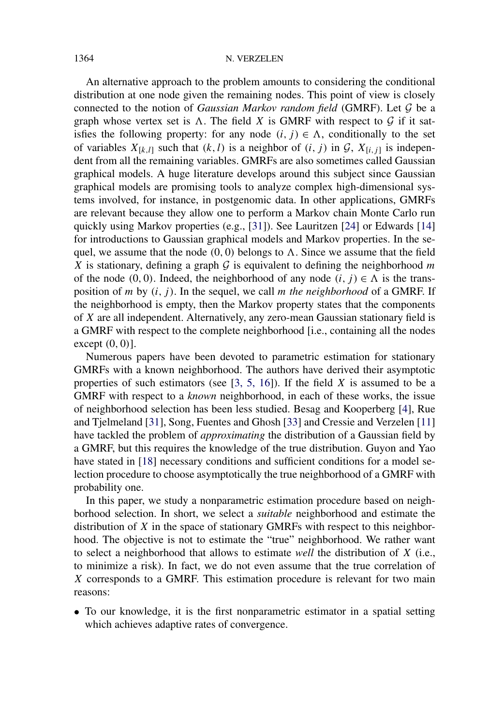#### 1364 N. VERZELEN

An alternative approach to the problem amounts to considering the conditional distribution at one node given the remaining nodes. This point of view is closely connected to the notion of *Gaussian Markov random field* (GMRF). Let G be a graph whose vertex set is  $\Lambda$ . The field *X* is GMRF with respect to  $\mathcal G$  if it satisfies the following property: for any node  $(i, j) \in \Lambda$ , conditionally to the set of variables  $X_{[k,l]}$  such that  $(k, l)$  is a neighbor of  $(i, j)$  in  $\mathcal{G}, X_{[i,j]}$  is independent from all the remaining variables. GMRFs are also sometimes called Gaussian graphical models. A huge literature develops around this subject since Gaussian graphical models are promising tools to analyze complex high-dimensional systems involved, for instance, in postgenomic data. In other applications, GMRFs are relevant because they allow one to perform a Markov chain Monte Carlo run quickly using Markov properties (e.g., [31]). See Lauritzen [24] or Edwards [14] for introductions to Gaussian graphical models and Markov properties. In the sequel, we assume that the node  $(0, 0)$  belongs to  $\Lambda$ . Since we assume that the field *X* is stationary, defining a graph  $G$  is equivalent to defining the neighborhood *m* of the node  $(0, 0)$ . Indeed, the neighborhood of any node  $(i, j) \in \Lambda$  is the transposition of *m* by *(i, j )*. In the sequel, we call *m the neighborhood* of a GMRF. If the neighborhood is empty, then the Markov property states that the components of *X* are all independent. Alternatively, any zero-mean Gaussian stationary field is a GMRF with respect to the complete neighborhood [i.e., containing all the nodes except *(*0*,* 0*)*].

Numerous papers have been devoted to parametric estimation for stationary GMRFs with a known neighborhood. The authors have derived their asymptotic properties of such estimators (see [3, 5, 16]). If the field *X* is assumed to be a GMRF with respect to a *known* neighborhood, in each of these works, the issue of neighborhood selection has been less studied. Besag and Kooperberg [4], Rue and Tjelmeland [31], Song, Fuentes and Ghosh [33] and Cressie and Verzelen [11] have tackled the problem of *approximating* the distribution of a Gaussian field by a GMRF, but this requires the knowledge of the true distribution. Guyon and Yao have stated in [18] necessary conditions and sufficient conditions for a model selection procedure to choose asymptotically the true neighborhood of a GMRF with probability one.

In this paper, we study a nonparametric estimation procedure based on neighborhood selection. In short, we select a *suitable* neighborhood and estimate the distribution of *X* in the space of stationary GMRFs with respect to this neighborhood. The objective is not to estimate the "true" neighborhood. We rather want to select a neighborhood that allows to estimate *well* the distribution of *X* (i.e., to minimize a risk). In fact, we do not even assume that the true correlation of *X* corresponds to a GMRF. This estimation procedure is relevant for two main reasons:

• To our knowledge, it is the first nonparametric estimator in a spatial setting which achieves adaptive rates of convergence.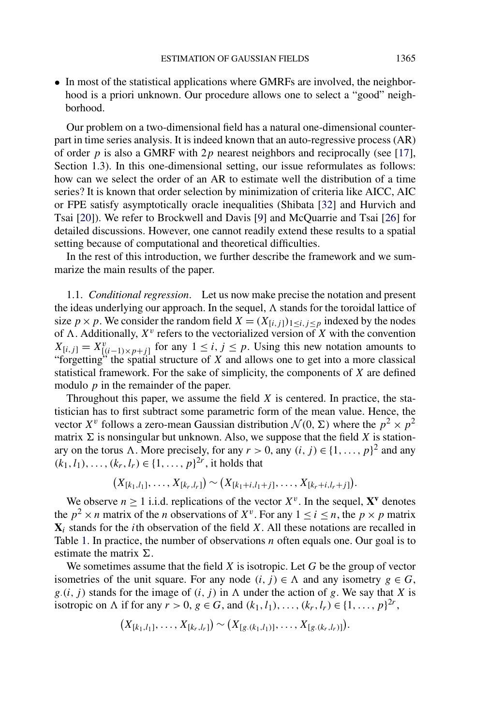• In most of the statistical applications where GMRFs are involved, the neighborhood is a priori unknown. Our procedure allows one to select a "good" neighborhood.

Our problem on a two-dimensional field has a natural one-dimensional counterpart in time series analysis. It is indeed known that an auto-regressive process (AR) of order  $p$  is also a GMRF with  $2p$  nearest neighbors and reciprocally (see [17], Section 1.3). In this one-dimensional setting, our issue reformulates as follows: how can we select the order of an AR to estimate well the distribution of a time series? It is known that order selection by minimization of criteria like AICC, AIC or FPE satisfy asymptotically oracle inequalities (Shibata [32] and Hurvich and Tsai [20]). We refer to Brockwell and Davis [9] and McQuarrie and Tsai [26] for detailed discussions. However, one cannot readily extend these results to a spatial setting because of computational and theoretical difficulties.

In the rest of this introduction, we further describe the framework and we summarize the main results of the paper.

1.1. *Conditional regression*. Let us now make precise the notation and present the ideas underlying our approach. In the sequel,  $\Lambda$  stands for the toroidal lattice of size *p* × *p*. We consider the random field  $X = (X_{[i],j}]_{1 \le i,j \le p}$  indexed by the nodes of  $\Lambda$ . Additionally,  $X^v$  refers to the vectorialized version of X with the convention  $X_{[i,j]} = X_{[(i-1)\times p+j]}^v$  for any  $1 \leq i, j \leq p$ . Using this new notation amounts to "forgetting" the spatial structure of *X* and allows one to get into a more classical statistical framework. For the sake of simplicity, the components of *X* are defined modulo *p* in the remainder of the paper.

Throughout this paper, we assume the field *X* is centered. In practice, the statistician has to first subtract some parametric form of the mean value. Hence, the vector  $X^{\nu}$  follows a zero-mean Gaussian distribution  $\mathcal{N}(0, \Sigma)$  where the  $p^2 \times p^2$ matrix  $\Sigma$  is nonsingular but unknown. Also, we suppose that the field *X* is stationary on the torus A. More precisely, for any  $r > 0$ , any  $(i, j) \in \{1, ..., p\}^2$  and any  $(k_1, l_1), \ldots, (k_r, l_r) \in \{1, \ldots, p\}^{2r}$ , it holds that

$$
(X_{[k_1,l_1]},\ldots,X_{[k_r,l_r]})\sim (X_{[k_1+i,l_1+j]},\ldots,X_{[k_r+i,l_r+j]}).
$$

We observe  $n \ge 1$  i.i.d. replications of the vector  $X^{\nu}$ . In the sequel,  $X^{\nu}$  denotes the  $p^2 \times n$  matrix of the *n* observations of  $X^v$ . For any  $1 \le i \le n$ , the  $p \times p$  matrix  $X_i$  stands for the *i*th observation of the field *X*. All these notations are recalled in Table 1. In practice, the number of observations *n* often equals one. Our goal is to estimate the matrix  $\Sigma$ .

We sometimes assume that the field *X* is isotropic. Let *G* be the group of vector isometries of the unit square. For any node  $(i, j) \in \Lambda$  and any isometry  $g \in G$ ,  $g(i, j)$  stands for the image of  $(i, j)$  in  $\Lambda$  under the action of  $g$ . We say that  $X$  is isotropic on  $\Lambda$  if for any  $r > 0$ ,  $g \in G$ , and  $(k_1, l_1), \ldots, (k_r, l_r) \in \{1, \ldots, p\}^{2r}$ ,

$$
(X_{[k_1,l_1]},\ldots,X_{[k_r,l_r]})\sim (X_{[g.(k_1,l_1)]},\ldots,X_{[g.(k_r,l_r)]}).
$$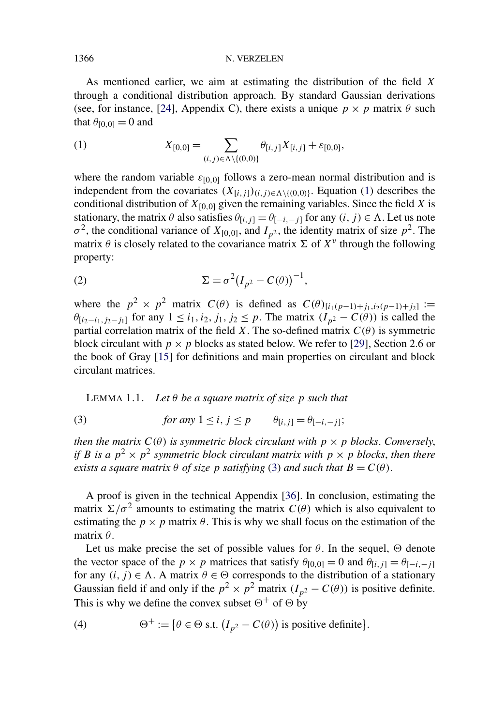#### 1366 N. VERZELEN

As mentioned earlier, we aim at estimating the distribution of the field *X* through a conditional distribution approach. By standard Gaussian derivations (see, for instance, [24], Appendix C), there exists a unique  $p \times p$  matrix  $\theta$  such that  $\theta_{[0,0]} = 0$  and

(1) 
$$
X_{[0,0]} = \sum_{(i,j)\in\Lambda\setminus\{(0,0)\}} \theta_{[i,j]} X_{[i,j]} + \varepsilon_{[0,0]},
$$

where the random variable  $\varepsilon_{[0,0]}$  follows a zero-mean normal distribution and is independent from the covariates  $(X_{[i,j]})_{(i,j)\in\Lambda\setminus\{(0,0)\}}$ . Equation (1) describes the conditional distribution of  $X_{[0,0]}$  given the remaining variables. Since the field *X* is stationary, the matrix  $\theta$  also satisfies  $\theta_{[i,j]} = \theta_{[-i,-j]}$  for any  $(i, j) \in \Lambda$ . Let us note  $\sigma^2$ , the conditional variance of *X*<sub>[0,0]</sub>, and *I<sub>p</sub>*2, the identity matrix of size *p*<sup>2</sup>. The matrix  $\theta$  is closely related to the covariance matrix  $\Sigma$  of  $X^v$  through the following property:

$$
\Sigma = \sigma^2 (I_{p^2} - C(\theta))^{-1},
$$

where the  $p^2 \times p^2$  matrix  $C(\theta)$  is defined as  $C(\theta)_{[i_1(p-1)+j_1,i_2(p-1)+j_2]}$  := *θ*<sub>[*i*2−*i*<sub>1</sub></sub>*, j*<sub>2</sub>−*j*<sub>1</sub>] for any 1 ≤ *i*<sub>1</sub>*, i*<sub>2</sub>*, j*<sub>1</sub>*, j*<sub>2</sub> ≤ *p*. The matrix  $(I_{p^2} - C(\theta))$  is called the partial correlation matrix of the field *X*. The so-defined matrix  $C(\theta)$  is symmetric block circulant with  $p \times p$  blocks as stated below. We refer to [29], Section 2.6 or the book of Gray [15] for definitions and main properties on circulant and block circulant matrices.

LEMMA 1.1. Let  $\theta$  *be a square matrix of size p such that* 

(3) *for any* 
$$
1 \le i, j \le p
$$
  $\theta_{[i,j]} = \theta_{[-i,-j]};$ 

*then the matrix*  $C(\theta)$  *is symmetric block circulant with*  $p \times p$  *blocks. Conversely, if B is a*  $p^2 \times p^2$  *symmetric block circulant matrix with*  $p \times p$  *blocks, then there exists a square matrix*  $\theta$  *of size p satisfying* (3) *and such that*  $B = C(\theta)$ .

A proof is given in the technical Appendix [36]. In conclusion, estimating the matrix  $\sum/\sigma^2$  amounts to estimating the matrix  $C(\theta)$  which is also equivalent to estimating the  $p \times p$  matrix  $\theta$ . This is why we shall focus on the estimation of the matrix *θ*.

Let us make precise the set of possible values for  $\theta$ . In the sequel,  $\Theta$  denote the vector space of the *p* × *p* matrices that satisfy  $\theta_{[0,0]} = 0$  and  $\theta_{[i,j]} = \theta_{[-i,-j]}$ for any  $(i, j) \in \Lambda$ . A matrix  $\theta \in \Theta$  corresponds to the distribution of a stationary Gaussian field if and only if the  $p^2 \times p^2$  matrix  $(I_{p^2} - C(\theta))$  is positive definite. This is why we define the convex subset  $\Theta^+$  of  $\Theta$  by

(4) 
$$
\Theta^+ := \{ \theta \in \Theta \text{ s.t. } (I_{p^2} - C(\theta)) \text{ is positive definite} \}.
$$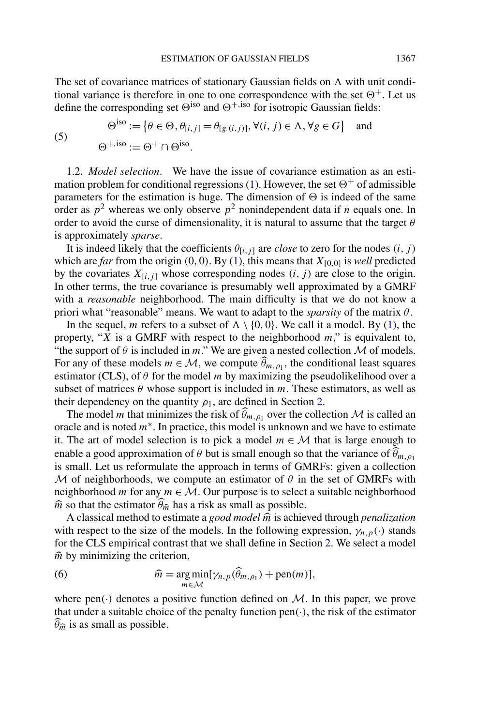The set of covariance matrices of stationary Gaussian fields on  $\Lambda$  with unit conditional variance is therefore in one to one correspondence with the set  $\Theta^+$ . Let us define the corresponding set  $\Theta^{iso}$  and  $\Theta^{+,iso}$  for isotropic Gaussian fields:

$$
(5)
$$

$$
\Theta^{\text{iso}} := \{ \theta \in \Theta, \theta_{[i,j]} = \theta_{[g.(i,j)]}, \forall (i,j) \in \Lambda, \forall g \in G \} \text{ and}
$$
  

$$
\Theta^{+, \text{iso}} := \Theta^+ \cap \Theta^{\text{iso}}.
$$

1.2. *Model selection*. We have the issue of covariance estimation as an estimation problem for conditional regressions (1). However, the set  $\Theta^+$  of admissible parameters for the estimation is huge. The dimension of  $\Theta$  is indeed of the same order as  $p^2$  whereas we only observe  $p^2$  nonindependent data if *n* equals one. In order to avoid the curse of dimensionality, it is natural to assume that the target *θ* is approximately *sparse*.

It is indeed likely that the coefficients  $\theta_{[i,j]}$  are *close* to zero for the nodes  $(i, j)$ which are *far* from the origin  $(0, 0)$ . By  $(1)$ , this means that  $X_{[0,0]}$  is *well* predicted by the covariates  $X_{[i,j]}$  whose corresponding nodes  $(i, j)$  are close to the origin. In other terms, the true covariance is presumably well approximated by a GMRF with a *reasonable* neighborhood. The main difficulty is that we do not know a priori what "reasonable" means. We want to adapt to the *sparsity* of the matrix *θ*.

In the sequel, *m* refers to a subset of  $\Lambda \setminus \{0, 0\}$ . We call it a model. By (1), the property, "*X* is a GMRF with respect to the neighborhood *m*," is equivalent to, "the support of  $\theta$  is included in *m*." We are given a nested collection  $\mathcal M$  of models. For any of these models  $m \in \mathcal{M}$ , we compute  $\widehat{\theta}_{m,\rho_1}$ , the conditional least squares estimator (CLS), of  $\theta$  for the model *m* by maximizing the pseudolikelihood over a subset of matrices  $\theta$  whose support is included in *m*. These estimators, as well as their dependency on the quantity  $\rho_1$ , are defined in Section 2.

The model *m* that minimizes the risk of  $\theta_{m,\rho_1}$  over the collection M is called an oracle and is noted *m*∗. In practice, this model is unknown and we have to estimate it. The art of model selection is to pick a model  $m \in \mathcal{M}$  that is large enough to enable a good approximation of  $\theta$  but is small enough so that the variance of  $\theta_{m,p_1}$ is small. Let us reformulate the approach in terms of GMRFs: given a collection M of neighborhoods, we compute an estimator of  $\theta$  in the set of GMRFs with neighborhood *m* for any  $m \in M$ . Our purpose is to select a suitable neighborhood  $\hat{m}$  so that the estimator  $\theta_{\hat{m}}$  has a risk as small as possible.

A classical method to estimate a *good model*  $\hat{m}$  is achieved through *penalization* with respect to the size of the models. In the following expression,  $\gamma_{n,p}(\cdot)$  stands for the CLS empirical contrast that we shall define in Section 2. We select a model  $\hat{m}$  by minimizing the criterion,

(6) 
$$
\widehat{m} = \underset{m \in \mathcal{M}}{\arg \min} [\gamma_{n,p}(\widehat{\theta}_{m,\rho_1}) + \text{pen}(m)],
$$

where  $pen(\cdot)$  denotes a positive function defined on M. In this paper, we prove that under a suitable choice of the penalty function pen*(*·*)*, the risk of the estimator  $\hat{\theta}_{\hat{m}}$  is as small as possible.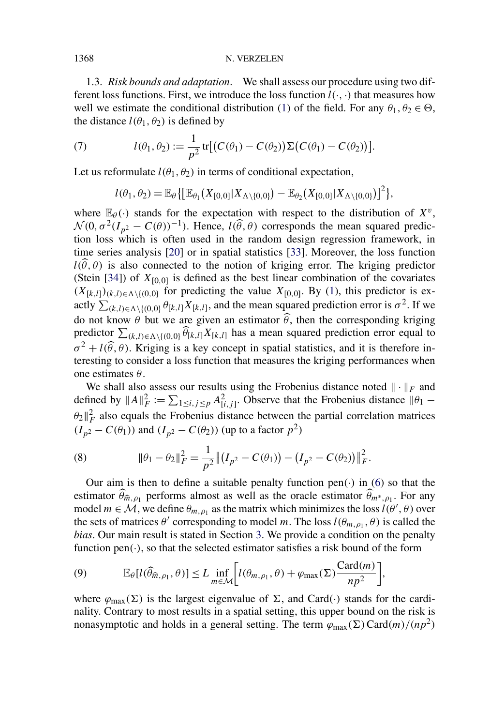#### 1368 N. VERZELEN

1.3. *Risk bounds and adaptation*. We shall assess our procedure using two different loss functions. First, we introduce the loss function  $l(\cdot, \cdot)$  that measures how well we estimate the conditional distribution (1) of the field. For any  $\theta_1, \theta_2 \in \Theta$ , the distance  $l(\theta_1, \theta_2)$  is defined by

(7) 
$$
l(\theta_1, \theta_2) := \frac{1}{p^2} \operatorname{tr}[(C(\theta_1) - C(\theta_2))\Sigma(C(\theta_1) - C(\theta_2))].
$$

Let us reformulate  $l(\theta_1, \theta_2)$  in terms of conditional expectation,

$$
l(\theta_1, \theta_2) = \mathbb{E}_{\theta} \{ \big[ \mathbb{E}_{\theta_1} (X_{[0,0]} | X_{\Lambda \setminus \{0,0\}}) - \mathbb{E}_{\theta_2} (X_{[0,0]} | X_{\Lambda \setminus \{0,0\}}) \big]^2 \},
$$

where  $\mathbb{E}_{\theta}(\cdot)$  stands for the expectation with respect to the distribution of  $X^v$ ,  $\mathcal{N}(0, \sigma^2(I_{p^2} - C(\theta))^{-1})$ . Hence,  $l(\widehat{\theta}, \theta)$  corresponds the mean squared prediction loss which is often used in the random design regression framework, in time series analysis [20] or in spatial statistics [33]. Moreover, the loss function  $l(\theta, \theta)$  is also connected to the notion of kriging error. The kriging predictor (Stein [34]) of  $X_{[0,0]}$  is defined as the best linear combination of the covariates  $(X_{[k,l]})_{(k,l)\in\Lambda\setminus\{(0,0)\}}$  for predicting the value  $X_{[0,0]}$ . By (1), this predictor is exactly  $\sum_{(k,l)\in\Lambda\setminus\{(0,0)\}} \theta_{[k,l]} X_{[k,l]}$ , and the mean squared prediction error is  $\sigma^2$ . If we do not know  $\theta$  but we are given an estimator  $\theta$ , then the corresponding kriging predictor  $\sum_{(k,l)\in\Lambda\setminus\{(0,0)\}} \widehat{\theta}_{[k,l]} X_{[k,l]}$  has a mean squared prediction error equal to  $\sigma^2 + l(\hat{\theta}, \theta)$ . Kriging is a key concept in spatial statistics, and it is therefore interesting to consider a loss function that measures the kriging performances when one estimates *θ*.

We shall also assess our results using the Frobenius distance noted  $\|\cdot\|_F$  and defined by  $||A||_F^2 := \sum_{1 \le i, j \le p} A_{[i,j]}^2$ . Observe that the Frobenius distance  $||\theta_1 \theta_2 \parallel^2_F$  also equals the Frobenius distance between the partial correlation matrices *(I<sub>p</sub>*2 − *C*( $θ$ <sub>1</sub>))</sub> and (*I<sub>p</sub>*2 − *C*( $θ$ <sub>2</sub>)) (up to a factor *p*<sup>2</sup>)

(8) 
$$
\|\theta_1 - \theta_2\|_F^2 = \frac{1}{p^2} \left\| (I_{p^2} - C(\theta_1)) - (I_{p^2} - C(\theta_2)) \right\|_F^2.
$$

Our aim is then to define a suitable penalty function pen $(\cdot)$  in  $(6)$  so that the estimator  $\theta_{\hat{m},\rho_1}$  performs almost as well as the oracle estimator  $\theta_{m^*,\rho_1}$ . For any model  $m \in \mathcal{M}$ , we define  $\theta_{m,\rho_1}$  as the matrix which minimizes the loss  $l(\theta', \theta)$  over the sets of matrices  $\theta'$  corresponding to model *m*. The loss  $l(\theta_{m, \rho_1}, \theta)$  is called the *bias*. Our main result is stated in Section 3. We provide a condition on the penalty function  $pen(\cdot)$ , so that the selected estimator satisfies a risk bound of the form

(9) 
$$
\mathbb{E}_{\theta}[l(\widehat{\theta}_{\widehat{m},\rho_1},\theta)] \le L \inf_{m \in \mathcal{M}} \bigg[l(\theta_{m,\rho_1},\theta) + \varphi_{\max}(\Sigma) \frac{\text{Card}(m)}{np^2}\bigg],
$$

where  $\varphi_{\text{max}}(\Sigma)$  is the largest eigenvalue of  $\Sigma$ , and Card $(\cdot)$  stands for the cardinality. Contrary to most results in a spatial setting, this upper bound on the risk is nonasymptotic and holds in a general setting. The term  $\varphi_{\text{max}}(\Sigma) \text{Card}(m)/(np^2)$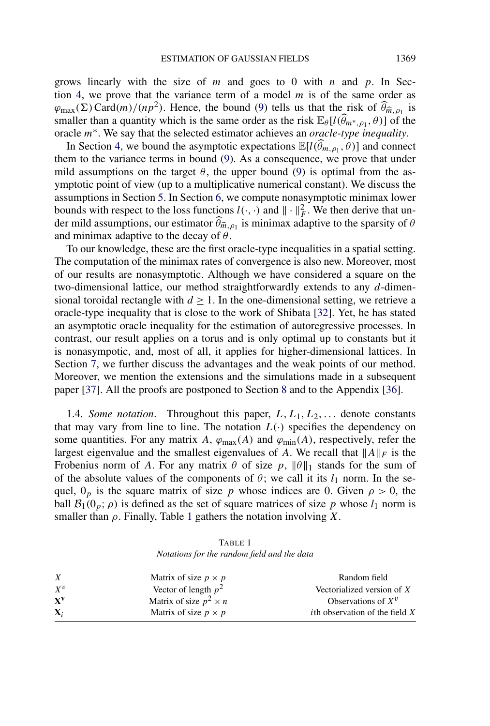grows linearly with the size of *m* and goes to 0 with *n* and *p*. In Section 4, we prove that the variance term of a model *m* is of the same order as  $\varphi_{\text{max}}(\Sigma) \text{Card}(m)/(np^2)$ . Hence, the bound (9) tells us that the risk of  $\widehat{\theta}_{\widehat{m},\rho_1}$  is smaller than a quantity which is the same order as the risk  $\mathbb{E}_{\theta}[l(\widehat{\theta}_{m^*,\rho_1},\theta)]$  of the oracle *m*∗. We say that the selected estimator achieves an *oracle-type inequality*.

In Section 4, we bound the asymptotic expectations  $\mathbb{E}[l(\widehat{\theta}_{m,\rho_1}, \widehat{\theta})]$  and connect them to the variance terms in bound (9). As a consequence, we prove that under mild assumptions on the target  $\theta$ , the upper bound (9) is optimal from the asymptotic point of view (up to a multiplicative numerical constant). We discuss the assumptions in Section 5. In Section 6, we compute nonasymptotic minimax lower bounds with respect to the loss functions  $l(\cdot, \cdot)$  and  $\|\cdot\|_F^2$ . We then derive that under mild assumptions, our estimator  $\theta_{\hat{m},\rho_1}$  is minimax adaptive to the sparsity of  $\theta$ and minimax adaptive to the decay of *θ*.

To our knowledge, these are the first oracle-type inequalities in a spatial setting. The computation of the minimax rates of convergence is also new. Moreover, most of our results are nonasymptotic. Although we have considered a square on the two-dimensional lattice, our method straightforwardly extends to any *d*-dimensional toroidal rectangle with  $d \geq 1$ . In the one-dimensional setting, we retrieve a oracle-type inequality that is close to the work of Shibata [32]. Yet, he has stated an asymptotic oracle inequality for the estimation of autoregressive processes. In contrast, our result applies on a torus and is only optimal up to constants but it is nonasympotic, and, most of all, it applies for higher-dimensional lattices. In Section 7, we further discuss the advantages and the weak points of our method. Moreover, we mention the extensions and the simulations made in a subsequent paper [37]. All the proofs are postponed to Section 8 and to the Appendix [36].

1.4. *Some notation*. Throughout this paper,  $L, L_1, L_2, \ldots$  denote constants that may vary from line to line. The notation  $L(\cdot)$  specifies the dependency on some quantities. For any matrix *A*,  $\varphi_{\text{max}}(A)$  and  $\varphi_{\text{min}}(A)$ , respectively, refer the largest eigenvalue and the smallest eigenvalues of *A*. We recall that  $||A||_F$  is the Frobenius norm of *A*. For any matrix  $\theta$  of size  $p$ ,  $\|\theta\|_1$  stands for the sum of of the absolute values of the components of  $\theta$ ; we call it its  $l_1$  norm. In the sequel,  $0_p$  is the square matrix of size *p* whose indices are 0. Given  $\rho > 0$ , the ball  $\mathcal{B}_1(0_p; \rho)$  is defined as the set of square matrices of size p whose  $l_1$  norm is smaller than *ρ*. Finally, Table 1 gathers the notation involving *X*.

TABLE 1 *Notations for the random field and the data*

| $\boldsymbol{X}$ | Matrix of size $p \times p$   | Random field                             |
|------------------|-------------------------------|------------------------------------------|
| $X^{\nu}$        | Vector of length $p^2$        | Vectorialized version of $X$             |
| $X^V$            | Matrix of size $p^2 \times n$ | Observations of $X^v$                    |
| $\mathbf{X}_i$   | Matrix of size $p \times p$   | <i>i</i> th observation of the field $X$ |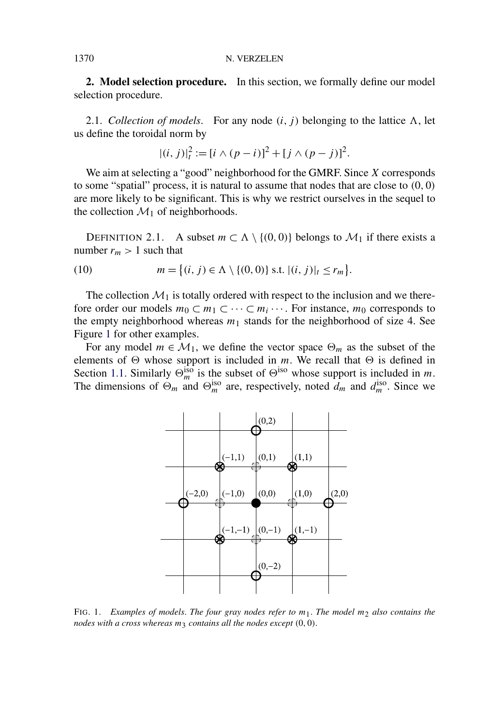**2. Model selection procedure.** In this section, we formally define our model selection procedure.

2.1. *Collection of models*. For any node  $(i, j)$  belonging to the lattice  $\Lambda$ , let us define the toroidal norm by

$$
|(i, j)|_t^2 := [i \wedge (p - i)]^2 + [j \wedge (p - j)]^2.
$$

We aim at selecting a "good" neighborhood for the GMRF. Since *X* corresponds to some "spatial" process, it is natural to assume that nodes that are close to *(*0*,* 0*)* are more likely to be significant. This is why we restrict ourselves in the sequel to the collection  $\mathcal{M}_1$  of neighborhoods.

DEFINITION 2.1. A subset  $m \subset \Lambda \setminus \{(0,0)\}\)$  belongs to  $\mathcal{M}_1$  if there exists a number  $r_m > 1$  such that

(10) 
$$
m = \{(i, j) \in \Lambda \setminus \{(0, 0)\} \text{ s.t. } |(i, j)|_t \leq r_m\}.
$$

The collection  $\mathcal{M}_1$  is totally ordered with respect to the inclusion and we therefore order our models  $m_0 \subset m_1 \subset \cdots \subset m_i \cdots$ . For instance,  $m_0$  corresponds to the empty neighborhood whereas  $m_1$  stands for the neighborhood of size 4. See Figure 1 for other examples.

For any model  $m \in \mathcal{M}_1$ , we define the vector space  $\Theta_m$  as the subset of the elements of  $\Theta$  whose support is included in *m*. We recall that  $\Theta$  is defined in Section 1.1. Similarly  $\Theta_m^{iso}$  is the subset of  $\Theta^{iso}$  whose support is included in *m*. The dimensions of  $\Theta_m$  and  $\Theta_m^{\text{iso}}$  are, respectively, noted  $d_m$  and  $d_m^{\text{iso}}$ . Since we



FIG. 1. *Examples of models*. *The four gray nodes refer to m*1. *The model m*2 *also contains the nodes with a cross whereas m*3 *contains all the nodes except (*0*,* 0*)*.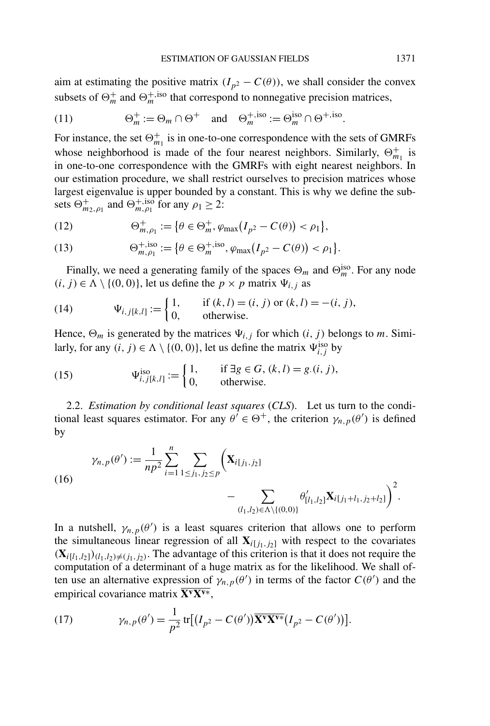aim at estimating the positive matrix  $(I_{p^2} - C(\theta))$ , we shall consider the convex subsets of  $\Theta_m^+$  and  $\Theta_m^{+,iso}$  that correspond to nonnegative precision matrices,

(11) 
$$
\Theta_m^+ := \Theta_m \cap \Theta^+ \quad \text{and} \quad \Theta_m^{+, \text{iso}} := \Theta_m^{\text{iso}} \cap \Theta^{+, \text{iso}}.
$$

For instance, the set  $\Theta_{m_1}^+$  is in one-to-one correspondence with the sets of GMRFs whose neighborhood is made of the four nearest neighbors. Similarly,  $\Theta_{m_1}^+$  is in one-to-one correspondence with the GMRFs with eight nearest neighbors. In our estimation procedure, we shall restrict ourselves to precision matrices whose largest eigenvalue is upper bounded by a constant. This is why we define the subsets  $\Theta_{m_2,\rho_1}^+$  and  $\Theta_{m,\rho_1}^{+,\text{iso}}$  for any  $\rho_1 \geq 2$ :

(12) 
$$
\Theta_{m,\rho_1}^+ := \{ \theta \in \Theta_m^+, \varphi_{\max}(I_{p^2} - C(\theta)) < \rho_1 \},
$$

(13) 
$$
\Theta_{m,\rho_1}^{+,\text{iso}} := \{ \theta \in \Theta_m^{+,\text{iso}}, \varphi_{\text{max}}(I_{p^2} - C(\theta)) < \rho_1 \}.
$$

Finally, we need a generating family of the spaces  $\Theta_m$  and  $\Theta_m^{\text{iso}}$ . For any node *(i, j)* ∈  $\Lambda$   $\setminus$  {*(*0*,* 0*)*}, let us define the *p* × *p* matrix  $\Psi$ <sub>*i,j*</sub> as

(14) 
$$
\Psi_{i,j[k,l]} := \begin{cases} 1, & \text{if } (k,l) = (i,j) \text{ or } (k,l) = -(i,j), \\ 0, & \text{otherwise.} \end{cases}
$$

Hence,  $\Theta_m$  is generated by the matrices  $\Psi_{i,j}$  for which  $(i, j)$  belongs to *m*. Similarly, for any  $(i, j) \in \Lambda \setminus \{(0, 0)\}\)$ , let us define the matrix  $\Psi_{i,j}^{\text{iso}}$  by

(15) 
$$
\Psi_{i,j[k,l]}^{\text{iso}} := \begin{cases} 1, & \text{if } \exists g \in G, (k,l) = g.(i,j), \\ 0, & \text{otherwise.} \end{cases}
$$

2.2. *Estimation by conditional least squares* (*CLS*). Let us turn to the conditional least squares estimator. For any  $\theta' \in \Theta^+$ , the criterion  $\gamma_{n,p}(\theta')$  is defined by

(16)  

$$
\gamma_{n,p}(\theta') := \frac{1}{np^2} \sum_{i=1}^n \sum_{1 \le j_1, j_2 \le p} \left( \mathbf{X}_{i[j_1, j_2]} - \sum_{(l_1, l_2) \in \Lambda \setminus \{(0, 0)\}} \theta'_{[l_1, l_2]} \mathbf{X}_{i[j_1 + l_1, j_2 + l_2]} \right)^2.
$$

In a nutshell,  $\gamma_{n,p}(\theta')$  is a least squares criterion that allows one to perform the simultaneous linear regression of all  $\mathbf{X}_{i[j_1,j_2]}$  with respect to the covariates  $({\bf X}_{i[l_1,l_2]})_{(l_1,l_2)\neq (j_1,j_2)}$ . The advantage of this criterion is that it does not require the computation of a determinant of a huge matrix as for the likelihood. We shall often use an alternative expression of  $\gamma_{n,p}(\theta')$  in terms of the factor  $C(\theta')$  and the empirical covariance matrix **XvXv**<sup>∗</sup>,

(17) 
$$
\gamma_{n,p}(\theta') = \frac{1}{p^2} \operatorname{tr}[(I_{p^2} - C(\theta'))\overline{\mathbf{X}^{\mathbf{v}}\mathbf{X}^{\mathbf{v}*}}(I_{p^2} - C(\theta'))].
$$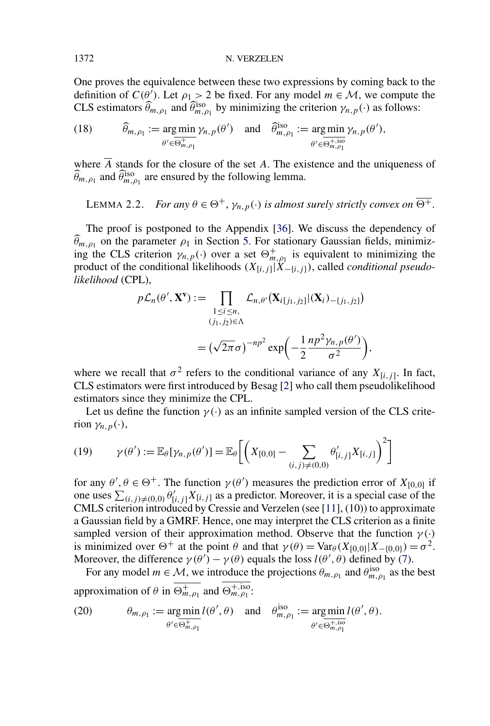One proves the equivalence between these two expressions by coming back to the definition of  $C(\hat{\theta})$ . Let  $\rho_1 > 2$  be fixed. For any model  $m \in \mathcal{M}$ , we compute the CLS estimators  $\widehat{\theta}_{m,\rho_1}$  and  $\widehat{\theta}_{m,\rho_1}^{iso}$  by minimizing the criterion  $\gamma_{n,p}(\cdot)$  as follows:

(18) 
$$
\widehat{\theta}_{m,\rho_1} := \underset{\theta' \in \overline{\Theta_{m,\rho_1}^+}}{\text{arg min}} \gamma_{n,p}(\theta') \quad \text{and} \quad \widehat{\theta}_{m,\rho_1}^{\text{iso}} := \underset{\theta' \in \overline{\Theta_{m,\rho_1}^+}}{\text{arg min}} \gamma_{n,p}(\theta'),
$$

where  $\overline{A}$  stands for the closure of the set *A*. The existence and the uniqueness of  $\widehat{\theta}_{m,\rho_1}$  and  $\widehat{\theta}_{m,\rho_1}^{\text{iso}}$  are ensured by the following lemma.

LEMMA 2.2. *For any*  $\theta \in \Theta^+$ ,  $\gamma_{n,p}(\cdot)$  *is almost surely strictly convex on*  $\overline{\Theta^+}$ .

The proof is postponed to the Appendix [36]. We discuss the dependency of  $\theta_{m,\rho_1}$  on the parameter  $\rho_1$  in Section 5. For stationary Gaussian fields, minimizing the CLS criterion  $\gamma_{n,p}(\cdot)$  over a set  $\Theta_{m,\rho_1}^+$  is equivalent to minimizing the product of the conditional likelihoods  $(X_{[i,j]} | X_{-[i,j]})$ , called *conditional pseudolikelihood* (CPL),

$$
p\mathcal{L}_n(\theta', \mathbf{X}^{\mathbf{v}}) := \prod_{\substack{1 \le i \le n, \\ (j_1, j_2) \in \Lambda}} \mathcal{L}_{n, \theta'}(\mathbf{X}_{i[j_1, j_2]} | (\mathbf{X}_i)_{-\{j_1, j_2\}})
$$

$$
= (\sqrt{2\pi}\sigma)^{-np^2} \exp\left(-\frac{1}{2}\frac{np^2\gamma_{n, p}(\theta')}{\sigma^2}\right),
$$

where we recall that  $\sigma^2$  refers to the conditional variance of any  $X_{[i,j]}$ . In fact, CLS estimators were first introduced by Besag [2] who call them pseudolikelihood estimators since they minimize the CPL.

Let us define the function  $\gamma(\cdot)$  as an infinite sampled version of the CLS criterion  $\gamma_{n,p}(\cdot)$ ,

(19) 
$$
\gamma(\theta') := \mathbb{E}_{\theta}[\gamma_{n,p}(\theta')] = \mathbb{E}_{\theta}\bigg[\bigg(X_{[0,0]} - \sum_{(i,j)\neq(0,0)} \theta'_{[i,j]} X_{[i,j]}\bigg)^2\bigg]
$$

for any  $\theta$ ,  $\theta \in \Theta^+$ . The function  $\gamma(\theta')$  measures the prediction error of  $X_{[0,0]}$  if one uses  $\sum_{(i,j)\neq(0,0)} \theta'_{[i,j]} X_{[i,j]}$  as a predictor. Moreover, it is a special case of the CMLS criterion introduced by Cressie and Verzelen (see [11], (10)) to approximate a Gaussian field by a GMRF. Hence, one may interpret the CLS criterion as a finite sampled version of their approximation method. Observe that the function  $\gamma(\cdot)$ is minimized over  $\Theta^+$  at the point  $\theta$  and that  $\gamma(\theta) = \text{Var}_{\theta}(X_{[0,0]} | X_{-[0,0]}) = \sigma^2$ . Moreover, the difference  $\gamma(\theta') - \gamma(\theta)$  equals the loss  $l(\theta', \theta)$  defined by (7).

For any model  $m \in \mathcal{M}$ , we introduce the projections  $\theta_{m,\rho_1}$  and  $\theta_{m,\rho_1}^{iso}$  as the best approximation of  $\theta$  in  $\overline{\Theta_{m,\rho_1}^+}$  and  $\overline{\Theta_{m,\rho_1}^+}$ .

(20) 
$$
\theta_{m,\rho_1} := \underset{\theta' \in \overline{\Theta_{m,\rho_1}^+}}{\arg \min} \, l(\theta',\theta) \quad \text{and} \quad \theta_{m,\rho_1}^{\text{iso}} := \underset{\theta' \in \overline{\Theta_{m,\rho_1}^+}}{\arg \min} \, l(\theta',\theta).
$$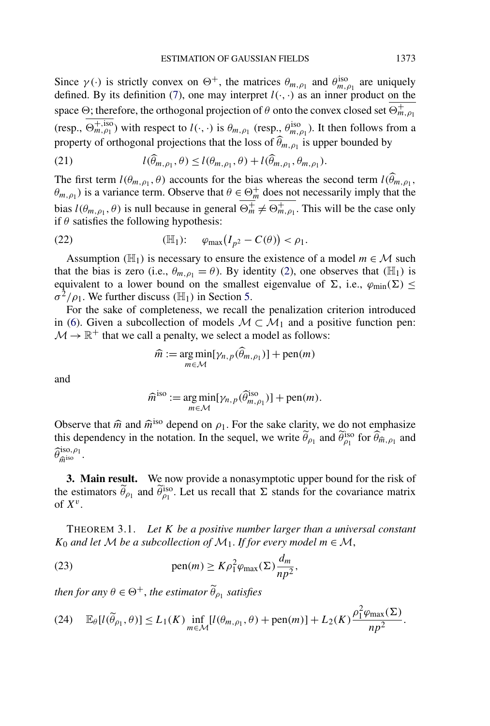Since  $\gamma(\cdot)$  is strictly convex on  $\Theta^+$ , the matrices  $\theta_{m,\rho_1}$  and  $\theta_{m,\rho_1}^{iso}$  are uniquely defined. By its definition (7), one may interpret  $l(\cdot, \cdot)$  as an inner product on the space  $\Theta$ ; therefore, the orthogonal projection of  $\theta$  onto the convex closed set  $\overline{\Theta_{m,\rho_1}^+}$  $(\text{resp., }\overline{\Theta_{m,\rho_1}^{+,\text{iso}}})$  with respect to  $l(\cdot,\cdot)$  is  $\theta_{m,\rho_1}$  (resp.,  $\theta_{m,\rho_1}^{\text{iso}}$ ). It then follows from a property of orthogonal projections that the loss of  $\theta_{m,\rho_1}$  is upper bounded by

(21) 
$$
l(\widehat{\theta}_{m,\rho_1},\theta) \leq l(\theta_{m,\rho_1},\theta) + l(\widehat{\theta}_{m,\rho_1},\theta_{m,\rho_1}).
$$

The first term  $l(\theta_{m,\rho_1}, \theta)$  accounts for the bias whereas the second term  $l(\theta_{m,\rho_1}, \theta)$  $\theta_{m,\rho_1}$ ) is a variance term. Observe that  $\theta \in \Theta_m^+$  does not necessarily imply that the bias  $l(\theta_{m,\rho_1}, \theta)$  is null because in general  $\overline{\Theta_m^+} \neq \overline{\Theta_{m,\rho_1}^+}$ . This will be the case only if  $\theta$  satisfies the following hypothesis:

$$
(22) \qquad (\mathbb{H}_1): \qquad \varphi_{\max}(I_{p^2}-C(\theta)) < \rho_1.
$$

Assumption  $(H_1)$  is necessary to ensure the existence of a model  $m \in \mathcal{M}$  such that the bias is zero (i.e.,  $\theta_{m,\rho_1} = \theta$ ). By identity (2), one observes that  $(\mathbb{H}_1)$  is equivalent to a lower bound on the smallest eigenvalue of  $\Sigma$ , i.e.,  $\varphi_{min}(\Sigma) \leq$  $\sigma^2/\rho_1$ . We further discuss *(H<sub>1</sub>)* in Section 5.

For the sake of completeness, we recall the penalization criterion introduced in (6). Given a subcollection of models  $M \subset M_1$  and a positive function pen:  $\mathcal{M} \rightarrow \mathbb{R}^+$  that we call a penalty, we select a model as follows:

$$
\widehat{m} := \underset{m \in \mathcal{M}}{\arg \min} [\gamma_{n,p}(\widehat{\theta}_{m,\rho_1})] + \text{pen}(m)
$$

and

$$
\widehat{m}^{\text{iso}} := \underset{m \in \mathcal{M}}{\arg \min} [\gamma_{n,p}(\widehat{\theta}_{m,\rho_1}^{\text{iso}})] + \text{pen}(m).
$$

Observe that  $\hat{m}$  and  $\hat{m}^{\text{iso}}$  depend on  $\rho_1$ . For the sake clarity, we do not emphasize this dependency in the notation. In the sequel, we write  $\tilde{\theta}_{\rho_1}$  and  $\tilde{\theta}_{\rho_1}^{iso}$  for  $\hat{\theta}_{\hat{m},\rho_1}$  and  $\widehat{\theta}_{\widehat{m}^{\mathrm{iso},\rho_1}}^{\mathrm{iso},\rho_1}$ .

**3. Main result.** We now provide a nonasymptotic upper bound for the risk of the estimators  $\tilde{\theta}_{\rho_1}$  and  $\tilde{\theta}_{\rho_1}^{iso}$ . Let us recall that  $\Sigma$  stands for the covariance matrix of  $X^v$ .

THEOREM 3.1. *Let K be a positive number larger than a universal constant K*<sub>0</sub> *and let M be a subcollection of*  $M_1$ *. If for every model*  $m \in M$ ,

(23) 
$$
\text{pen}(m) \geq K \rho_1^2 \varphi_{\text{max}}(\Sigma) \frac{d_m}{np^2},
$$

*then for any*  $\theta \in \Theta^+$ , *the estimator*  $\widetilde{\theta}_{\rho_1}$  *satisfies* 

$$
(24) \quad \mathbb{E}_{\theta}[l(\widetilde{\theta}_{\rho_1},\theta)] \le L_1(K) \inf_{m \in \mathcal{M}}[l(\theta_{m,\rho_1},\theta) + \text{pen}(m)] + L_2(K) \frac{\rho_1^2 \varphi_{\text{max}}(\Sigma)}{np^2}.
$$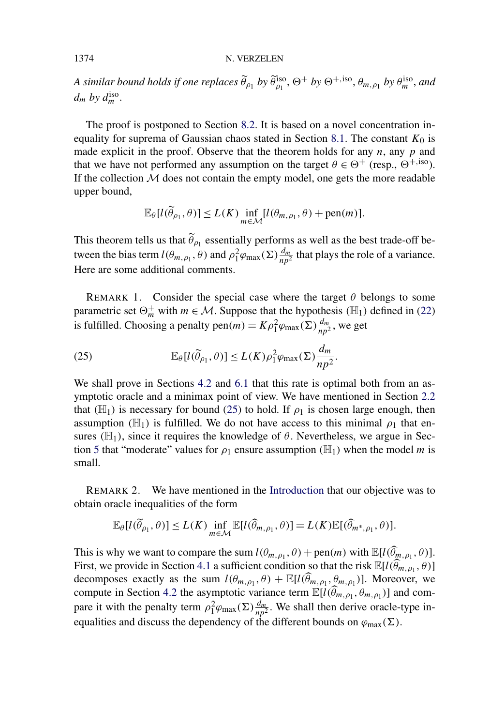#### 1374 N. VERZELEN

*A similar bound holds if one replaces*  $\widetilde{\theta}_{\rho_1}$  *by*  $\widetilde{\theta}_{\rho_1}^{iso}$ ,  $\Theta^+$  *by*  $\Theta^{+,iso}$ ,  $\theta_{m,\rho_1}$  *by*  $\theta_{m}^{iso}$ , *and*  $d_m$  by  $d_m^{\text{iso}}$ .

The proof is postponed to Section 8.2. It is based on a novel concentration inequality for suprema of Gaussian chaos stated in Section 8.1. The constant  $K_0$  is made explicit in the proof. Observe that the theorem holds for any  $n$ , any  $p$  and that we have not performed any assumption on the target  $\theta \in \Theta^+$  (resp.,  $\Theta^{+,iso}$ ). If the collection  $M$  does not contain the empty model, one gets the more readable upper bound,

$$
\mathbb{E}_{\theta}[l(\widetilde{\theta}_{\rho_1}, \theta)] \le L(K) \inf_{m \in \mathcal{M}}[l(\theta_{m, \rho_1}, \theta) + \text{pen}(m)].
$$

This theorem tells us that  $\tilde{\theta}_{\rho_1}$  essentially performs as well as the best trade-off between the bias term  $l(\theta_{m,\rho_1}, \theta)$  and  $\rho_1^2 \varphi_{\text{max}}(\Sigma) \frac{d_m}{np^2}$  that plays the role of a variance. Here are some additional comments.

REMARK 1. Consider the special case where the target  $\theta$  belongs to some parametric set  $\Theta_m^+$  with  $m \in \mathcal{M}$ . Suppose that the hypothesis ( $\mathbb{H}_1$ ) defined in (22) is fulfilled. Choosing a penalty pen $(m) = K\rho_1^2\varphi_{\text{max}}(\Sigma)\frac{d_m}{np^2}$ , we get

(25) 
$$
\mathbb{E}_{\theta}[l(\widetilde{\theta}_{\rho_1}, \theta)] \le L(K)\rho_1^2 \varphi_{\max}(\Sigma) \frac{d_m}{np^2}.
$$

We shall prove in Sections 4.2 and 6.1 that this rate is optimal both from an asymptotic oracle and a minimax point of view. We have mentioned in Section 2.2 that  $(\mathbb{H}_1)$  is necessary for bound (25) to hold. If  $\rho_1$  is chosen large enough, then assumption  $(H_1)$  is fulfilled. We do not have access to this minimal  $\rho_1$  that ensures  $(\mathbb{H}_1)$ , since it requires the knowledge of  $\theta$ . Nevertheless, we argue in Section 5 that "moderate" values for  $\rho_1$  ensure assumption  $(\mathbb{H}_1)$  when the model *m* is small.

REMARK 2. We have mentioned in the Introduction that our objective was to obtain oracle inequalities of the form

$$
\mathbb{E}_{\theta}[l(\widetilde{\theta}_{\rho_1}, \theta)] \le L(K) \inf_{m \in \mathcal{M}} \mathbb{E}[l(\widehat{\theta}_{m, \rho_1}, \theta)] = L(K) \mathbb{E}[(\widehat{\theta}_{m^*, \rho_1}, \theta)].
$$

This is why we want to compare the sum  $l(\theta_{m,\rho_1}, \theta) + \text{pen}(m)$  with  $\mathbb{E}[l(\widehat{\theta}_{m,\rho_1}, \theta)]$ . First, we provide in Section 4.1 a sufficient condition so that the risk  $\mathbb{E}[l(\widehat{\theta}_{m,\rho_1},\theta)]$ decomposes exactly as the sum  $l(\theta_{m,\rho_1}, \theta) + \mathbb{E}[l(\widehat{\theta}_{m,\rho_1}, \theta_{m,\rho_1})]$ . Moreover, we compute in Section 4.2 the asymptotic variance term  $\mathbb{E}[l(\widehat{\theta}_{m,n}, \theta_{m,n})]$  and compare it with the penalty term  $\rho_1^2 \varphi_{\text{max}}(\Sigma) \frac{d_m}{np^2}$ . We shall then derive oracle-type inequalities and discuss the dependency of the different bounds on  $\varphi_{\text{max}}(\Sigma)$ .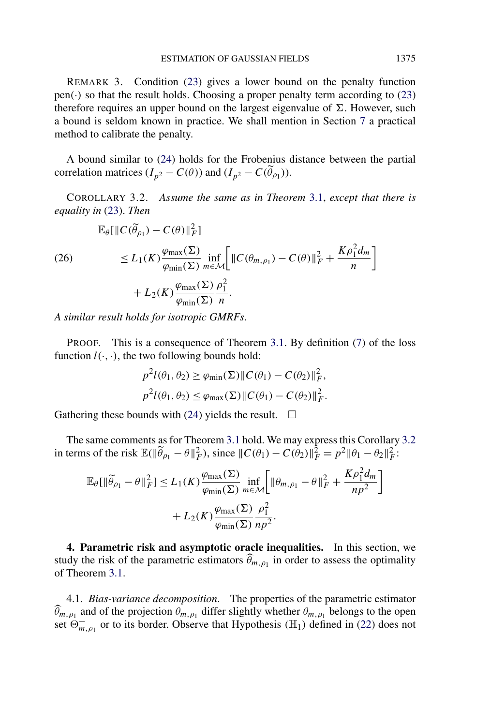REMARK 3. Condition (23) gives a lower bound on the penalty function  $pen(\cdot)$  so that the result holds. Choosing a proper penalty term according to (23) therefore requires an upper bound on the largest eigenvalue of  $\Sigma$ . However, such a bound is seldom known in practice. We shall mention in Section 7 a practical method to calibrate the penalty.

A bound similar to (24) holds for the Frobenius distance between the partial correlation matrices  $(I_{p^2} - C(\theta))$  and  $(I_{p^2} - C(\tilde{\theta}_{p_1}))$ .

COROLLARY 3.2. *Assume the same as in Theorem* 3.1, *except that there is equality in* (23). *Then*

$$
\mathbb{E}_{\theta}[\|C(\widetilde{\theta}_{\rho_1}) - C(\theta)\|_{F}^{2}]
$$
\n
$$
\leq L_{1}(K) \frac{\varphi_{\max}(\Sigma)}{\varphi_{\min}(\Sigma)} \inf_{m \in \mathcal{M}} \Big[ \|C(\theta_{m,\rho_1}) - C(\theta)\|_{F}^{2} + \frac{K\rho_{1}^{2}d_{m}}{n} \Big] + L_{2}(K) \frac{\varphi_{\max}(\Sigma)}{\varphi_{\min}(\Sigma)} \frac{\rho_{1}^{2}}{n}.
$$

*A similar result holds for isotropic GMRFs*.

PROOF. This is a consequence of Theorem 3.1. By definition (7) of the loss function  $l(\cdot, \cdot)$ , the two following bounds hold:

$$
p^2 l(\theta_1, \theta_2) \ge \varphi_{\min}(\Sigma) \| C(\theta_1) - C(\theta_2) \|_F^2,
$$
  

$$
p^2 l(\theta_1, \theta_2) \le \varphi_{\max}(\Sigma) \| C(\theta_1) - C(\theta_2) \|_F^2.
$$

Gathering these bounds with (24) yields the result.  $\Box$ 

The same comments as for Theorem 3.1 hold. We may express this Corollary 3.2 in terms of the risk  $\mathbb{E}(\|\widetilde{\theta}_{\rho_1} - \theta\|_F^2)$ , since  $\|C(\theta_1) - C(\theta_2)\|_F^2 = p^2 \|\theta_1 - \theta_2\|_F^2$ :

$$
\mathbb{E}_{\theta}[\|\widetilde{\theta}_{\rho_1} - \theta\|_F^2] \le L_1(K) \frac{\varphi_{\max}(\Sigma)}{\varphi_{\min}(\Sigma)} \inf_{m \in \mathcal{M}} \left[ \|\theta_{m,\rho_1} - \theta\|_F^2 + \frac{K\rho_1^2 d_m}{np^2} \right] + L_2(K) \frac{\varphi_{\max}(\Sigma)}{\varphi_{\min}(\Sigma)} \frac{\rho_1^2}{np^2}.
$$

**4. Parametric risk and asymptotic oracle inequalities.** In this section, we study the risk of the parametric estimators  $\hat{\theta}_{m,\rho_1}$  in order to assess the optimality of Theorem 3.1.

4.1. *Bias-variance decomposition*. The properties of the parametric estimator  $\theta_{m,\rho_1}$  and of the projection  $\theta_{m,\rho_1}$  differ slightly whether  $\theta_{m,\rho_1}$  belongs to the open set  $\Theta_{m,\rho_1}^+$  or to its border. Observe that Hypothesis ( $\mathbb{H}_1$ ) defined in (22) does not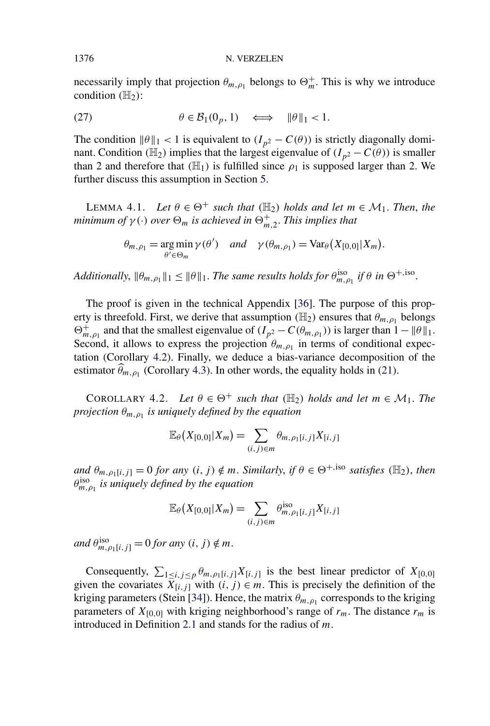necessarily imply that projection  $\theta_{m,\rho_1}$  belongs to  $\Theta_m^+$ . This is why we introduce condition  $(H_2)$ :

(27) 
$$
\theta \in \mathcal{B}_1(0_p, 1) \iff \|\theta\|_1 < 1.
$$

The condition  $\|\theta\|_1 < 1$  is equivalent to  $(I_{p^2} - C(\theta))$  is strictly diagonally dominant. Condition *(H<sub>2</sub>)* implies that the largest eigenvalue of  $(I_{p^2} - C(\theta))$  is smaller than 2 and therefore that  $(\mathbb{H}_1)$  is fulfilled since  $\rho_1$  is supposed larger than 2. We further discuss this assumption in Section 5.

LEMMA 4.1. *Let*  $\theta \in \Theta^+$  *such that*  $(\mathbb{H}_2)$  *holds and let*  $m \in \mathcal{M}_1$ *. Then, the minimum of*  $\gamma(\cdot)$  *over*  $\Theta_m$  *is achieved in*  $\Theta_{m,2}^+$ *. This implies that* 

$$
\theta_{m,\rho_1} = \underset{\theta' \in \Theta_m}{\arg \min} \gamma(\theta') \quad \text{and} \quad \gamma(\theta_{m,\rho_1}) = \text{Var}_{\theta}\big(X_{[0,0]}|X_m\big).
$$

*Additionally,*  $\|\theta_{m,\rho_1}\|_1 \leq \|\theta\|_1$ . *The same results holds for*  $\theta_{m,\rho_1}^{\text{iso}}$  *if*  $\theta$  *in*  $\Theta^{+,\text{iso}}$ .

The proof is given in the technical Appendix [36]. The purpose of this property is threefold. First, we derive that assumption  $(\mathbb{H}_2)$  ensures that  $\theta_{m,\rho_1}$  belongs  $\Theta_{m,\rho_1}^+$  and that the smallest eigenvalue of  $(I_{p^2} - C(\theta_{m,\rho_1}))$  is larger than  $1 - \|\theta\|_1$ . Second, it allows to express the projection  $\theta_{m,\rho_1}$  in terms of conditional expectation (Corollary 4.2). Finally, we deduce a bias-variance decomposition of the estimator  $\hat{\theta}_{m,p_1}$  (Corollary 4.3). In other words, the equality holds in (21).

COROLLARY 4.2. *Let*  $\theta \in \Theta^+$  *such that*  $(\mathbb{H}_2)$  *holds and let*  $m \in \mathcal{M}_1$ *. The projection*  $\theta_{m,\rho_1}$  *is uniquely defined by the equation* 

$$
\mathbb{E}_{\theta}\big(X_{[0,0]}|X_m\big)=\sum_{(i,j)\in m}\theta_{m,\rho_1[i,j]}X_{[i,j]}
$$

 $\partial_{m,p_1[i,j]} = 0$  *for any*  $(i, j) \notin m$ . *Similarly, if*  $\theta \in \Theta^{+,}$ *iso satisfies (H<sub>2</sub>), then θ*iso *m,ρ*<sup>1</sup> *is uniquely defined by the equation*

$$
\mathbb{E}_{\theta}\big(X_{[0,0]}|X_m\big)=\sum_{(i,j)\in m}\theta_{m,\rho_1[i,j]}^{\text{iso}}X_{[i,j]}
$$

 $and \ \theta_{m,\rho_1[i,j]}^{\text{iso}} = 0 \text{ for any } (i, j) \notin m.$ 

Consequently,  $\sum_{1 \le i, j \le p} \theta_{m,p_1[i,j]} X_{[i,j]}$  is the best linear predictor of  $X_{[0,0]}$ given the covariates  $X_{[i,j]}$  with  $(i, j) \in m$ . This is precisely the definition of the kriging parameters (Stein [34]). Hence, the matrix  $\theta_{m,\rho_1}$  corresponds to the kriging parameters of  $X_{[0,0]}$  with kriging neighborhood's range of  $r_m$ . The distance  $r_m$  is introduced in Definition 2.1 and stands for the radius of *m*.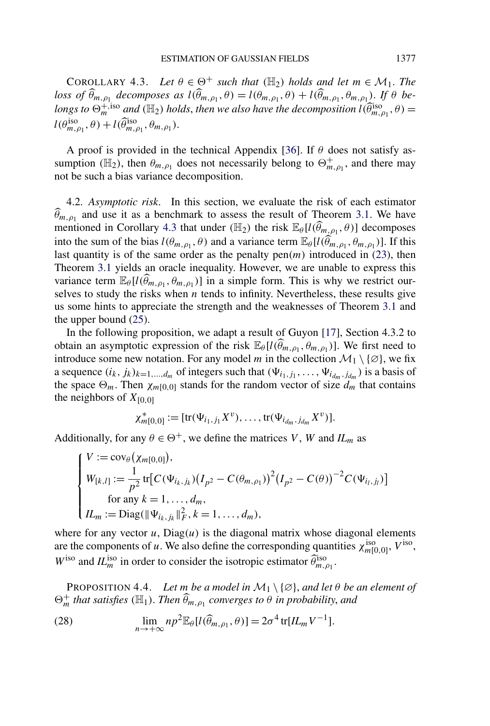COROLLARY 4.3. *Let*  $\theta \in \Theta^+$  *such that* ( $\mathbb{H}_2$ ) *holds and let*  $m \in \mathcal{M}_1$ *. The loss of*  $\widehat{\theta}_{m,\rho_1}$  *decomposes as*  $l(\widehat{\theta}_{m,\rho_1}, \theta) = l(\theta_{m,\rho_1}, \theta) + l(\widehat{\theta}_{m,\rho_1}, \theta_{m,\rho_1})$ . If  $\theta$  *belongs to*  $\Theta_m^{+,\mathrm{iso}}$  *and* ( $\mathbb{H}_2$ ) *holds, then we also have the decomposition*  $l(\widehat{\theta}_{m,\rho_1}^{\mathrm{iso}},\theta)$  =  $l(\theta_{m,\rho_1}^{\text{iso}}, \theta) + l(\widehat{\theta}_{m,\rho_1}^{\text{iso}}, \theta_{m,\rho_1}).$ 

A proof is provided in the technical Appendix [36]. If *θ* does not satisfy assumption ( $\mathbb{H}_2$ ), then  $\theta_{m,\rho_1}$  does not necessarily belong to  $\Theta_{m,\rho_1}^+$ , and there may not be such a bias variance decomposition.

4.2. *Asymptotic risk*. In this section, we evaluate the risk of each estimator  $\hat{\theta}_{m,p_1}$  and use it as a benchmark to assess the result of Theorem 3.1. We have mentioned in Corollary 4.3 that under *(H<sub>2</sub>)* the risk  $\mathbb{E}_{\theta}[l(\widehat{\theta}_{m,\rho_1}, \theta)]$  decomposes into the sum of the bias  $l(\theta_{m,\rho_1}, \theta)$  and a variance term  $\mathbb{E}_{\theta}[l(\hat{\theta}_{m,\rho_1}, \theta_{m,\rho_1})]$ . If this last quantity is of the same order as the penalty  $pen(m)$  introduced in  $(23)$ , then Theorem 3.1 yields an oracle inequality. However, we are unable to express this variance term  $\mathbb{E}_{\theta}[l(\widehat{\theta}_{m,\rho_1}, \theta_{m,\rho_1})]$  in a simple form. This is why we restrict ourselves to study the risks when *n* tends to infinity. Nevertheless, these results give us some hints to appreciate the strength and the weaknesses of Theorem 3.1 and the upper bound (25).

In the following proposition, we adapt a result of Guyon [17], Section 4.3.2 to obtain an asymptotic expression of the risk  $\mathbb{E}_{\theta}[l(\widehat{\theta}_{m,\rho_1}, \theta_{m,\rho_1})]$ . We first need to introduce some new notation. For any model *m* in the collection  $\mathcal{M}_1 \setminus \{\emptyset\}$ , we fix a sequence  $(i_k, j_k)_{k=1,\dots,d_m}$  of integers such that  $(\Psi_{i_1,j_1}, \dots, \Psi_{i_{d_m},j_{d_m}})$  is a basis of the space  $\Theta_m$ . Then  $\chi_{m[0,0]}$  stands for the random vector of size  $d_m$  that contains the neighbors of  $X_{[0,0]}$ 

$$
\chi_{m[0,0]}^* := [\text{tr}(\Psi_{i_1,j_1} X^v), \dots, \text{tr}(\Psi_{i_{d_m},j_{d_m}} X^v)].
$$

Additionally, for any  $\theta \in \Theta^+$ , we define the matrices *V*, *W* and *IL<sub>m</sub>* as

$$
\begin{cases}\nV := \text{cov}_{\theta}(\chi_{m[0,0]}), \\
W_{[k,l]} := \frac{1}{p^2} \text{tr}[C(\Psi_{i_k,j_k}) (I_{p^2} - C(\theta_{m,\rho_1}))^2 (I_{p^2} - C(\theta))^{-2} C(\Psi_{i_l,j_l})] \\
\text{for any } k = 1, ..., d_m, \\
IL_m := \text{Diag}(\|\Psi_{i_k,j_k}\|_F^2, k = 1, ..., d_m),\n\end{cases}
$$

where for any vector  $u$ ,  $Diag(u)$  is the diagonal matrix whose diagonal elements are the components of *u*. We also define the corresponding quantities  $\chi_{m[0,0]}^{\text{iso}}, V^{\text{iso}},$  $W^{\text{iso}}$  and  $IL^{\text{iso}}_m$  in order to consider the isotropic estimator  $\widehat{\theta}_{m,\rho_1}^{\text{iso}}$ .

PROPOSITION 4.4. *Let m be a model in*  $M_1 \setminus \{ \varnothing \}$ , *and let*  $\theta$  *be an element of*  $\Theta_m^+$  *that satisfies* ( $\mathbb{H}_1$ ). *Then*  $\widehat{\theta}_{m,\rho_1}$  *converges to*  $\theta$  *in probability, and* 

(28) 
$$
\lim_{n \to +\infty} np^2 \mathbb{E}_{\theta}[l(\widehat{\theta}_{m,\rho_1},\theta)] = 2\sigma^4 \text{tr}[IL_m V^{-1}].
$$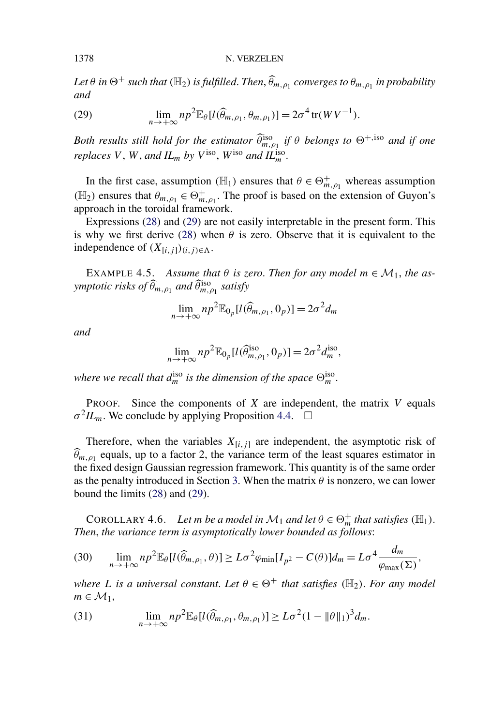$Let\ \theta\ in\ \Theta^+$  such that  $(\mathbb H_2)$  is fulfilled. Then,  $\widehat \theta_{m,\rho_1}$  converges to  $\theta_{m,\rho_1}$  in probability *and*

(29) 
$$
\lim_{n \to +\infty} n p^2 \mathbb{E}_{\theta}[l(\widehat{\theta}_{m,\rho_1}, \theta_{m,\rho_1})] = 2\sigma^4 \operatorname{tr}(WV^{-1}).
$$

*Both results still hold for the estimator*  $\widehat{\theta}_{m,\rho_1}^{\text{iso}}$  *if*  $\theta$  *belongs to*  $\Theta^{+,\text{iso}}$  *and if one replaces*  $V$ *,*  $W$ *, and*  $IL_m$  *by*  $V^{\text{iso}}$ *,*  $W^{\text{iso}}$  *and*  $IL_m^{\text{iso}}$ *.* 

In the first case, assumption  $(\mathbb{H}_1)$  ensures that  $\theta \in \Theta_{m,\rho_1}^+$  whereas assumption ( $\mathbb{H}_2$ ) ensures that  $\theta_{m,\rho_1} \in \Theta^+_{m,\rho_1}$ . The proof is based on the extension of Guyon's approach in the toroidal framework.

Expressions (28) and (29) are not easily interpretable in the present form. This is why we first derive (28) when  $\theta$  is zero. Observe that it is equivalent to the independence of  $(X_{[i,j]})_{(i,j)\in\Lambda}$ .

EXAMPLE 4.5. Assume that  $\theta$  is zero. Then for any model  $m \in \mathcal{M}_1$ , the as $y$ mptotic risks of  $\widehat{\theta}_{m,\rho_1}$  and  $\widehat{\theta}_{m,\rho_1}^{\text{iso}}$  satisfy

$$
\lim_{n \to +\infty} np^2 \mathbb{E}_{0_p}[l(\widehat{\theta}_{m,\rho_1}, 0_p)] = 2\sigma^2 d_m
$$

*and*

$$
\lim_{n \to +\infty} np^2 \mathbb{E}_{0_p}[l(\widehat{\theta}_{m,\rho_1}^{\text{iso}}, 0_p)] = 2\sigma^2 d_m^{\text{iso}},
$$

where we recall that  $d_m^{\text{iso}}$  is the dimension of the space  $\Theta_m^{\text{iso}}$ .

PROOF. Since the components of *X* are independent, the matrix *V* equals  $\sigma^2 I L_m$ . We conclude by applying Proposition 4.4.  $\Box$ 

Therefore, when the variables  $X_{[i,j]}$  are independent, the asymptotic risk of  $\hat{\theta}_{m,p_1}$  equals, up to a factor 2, the variance term of the least squares estimator in the fixed design Gaussian regression framework. This quantity is of the same order as the penalty introduced in Section 3. When the matrix  $\theta$  is nonzero, we can lower bound the limits (28) and (29).

COROLLARY 4.6. *Let m be a model in*  $M_1$  *and let*  $\theta \in \Theta_m^+$  *that satisfies* ( $\mathbb{H}_1$ ). *Then*, *the variance term is asymptotically lower bounded as follows*:

(30) 
$$
\lim_{n \to +\infty} np^2 \mathbb{E}_{\theta}[l(\widehat{\theta}_{m,\rho_1},\theta)] \geq L\sigma^2 \varphi_{\min}[I_{p^2} - C(\theta)]d_m = L\sigma^4 \frac{d_m}{\varphi_{\max}(\Sigma)},
$$

*where L is a universal constant. Let*  $\theta \in \Theta^+$  *that satisfies (H<sub>2</sub>)*. *For any model*  $m \in \mathcal{M}_1$ ,

(31) 
$$
\lim_{n\to+\infty}np^2\mathbb{E}_{\theta}[l(\widehat{\theta}_{m,\rho_1},\theta_{m,\rho_1})]\geq L\sigma^2(1-\|\theta\|_1)^3d_m.
$$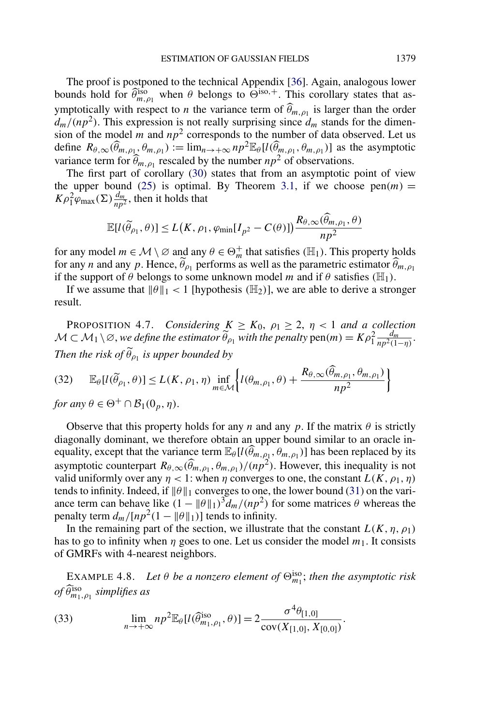The proof is postponed to the technical Appendix [36]. Again, analogous lower bounds hold for  $\widehat{\theta}_{m,\rho_1}^{iso}$  when  $\theta$  belongs to  $\widehat{\Theta}^{iso,+}$ . This corollary states that asymptotically with respect to *n* the variance term of  $\hat{\theta}_{m,\rho_1}$  is larger than the order  $d_m/(np^2)$ . This expression is not really surprising since  $d_m$  stands for the dimension of the model  $m$  and  $np^2$  corresponds to the number of data observed. Let us define  $R_{\theta,\infty}(\widehat{\theta}_{m,\rho_1},\theta_{m,\rho_1}) := \lim_{n \to +\infty} np^2 \mathbb{E}_{\theta}[l(\widehat{\theta}_{m,\rho_1},\theta_{m,\rho_1})]$  as the asymptotic variance term for  $\widehat{\theta}_{m,\rho_1}$  rescaled by the number  $np^2$  of observations.

The first part of corollary (30) states that from an asymptotic point of view the upper bound (25) is optimal. By Theorem 3.1, if we choose  $pen(m)$  =  $K\rho_1^2\varphi_{\text{max}}(\Sigma)\frac{d_m}{np^2}$ , then it holds that

$$
\mathbb{E}[l(\widetilde{\theta}_{\rho_1}, \theta)] \le L(K, \rho_1, \varphi_{\min}[I_{p^2} - C(\theta)]) \frac{R_{\theta, \infty}(\widehat{\theta}_{m, \rho_1}, \theta)}{np^2}
$$

for any model  $m \in \mathcal{M} \setminus \emptyset$  and any  $\theta \in \Theta_m^+$  that satisfies  $(\mathbb{H}_1)$ . This property holds for any *n* and any *p*. Hence,  $\hat{\theta}_{\rho_1}$  performs as well as the parametric estimator  $\hat{\theta}_{m,\rho_1}$ if the support of  $\theta$  belongs to some unknown model *m* and if  $\theta$  satisfies ( $\mathbb{H}_1$ ).

If we assume that  $\|\theta\|_1 < 1$  [hypothesis  $(\mathbb{H}_2)$ ], we are able to derive a stronger result.

**PROPOSITION 4.7.** *Considering*  $K \geq K_0$ ,  $\rho_1 \geq 2$ ,  $\eta < 1$  *and a collection*  $M \subset M_1 \setminus \varnothing$ , we define the estimator  $\widetilde{\theta}_{\rho_1}$  with the penalty  $pen(m) = K\rho_1^2 \frac{d_m}{np^2(1-\eta)}$ . *Then the risk of*  $\widetilde{\theta}_{p_1}$  *is upper bounded by* 

$$
(32) \qquad \mathbb{E}_{\theta}[l(\widetilde{\theta}_{\rho_1}, \theta)] \le L(K, \rho_1, \eta) \inf_{m \in \mathcal{M}} \left\{ l(\theta_{m, \rho_1}, \theta) + \frac{R_{\theta, \infty}(\widetilde{\theta}_{m, \rho_1}, \theta_{m, \rho_1})}{np^2} \right\}
$$

*for any*  $\theta \in \Theta^+ \cap \mathcal{B}_1(0_p, \eta)$ .

Observe that this property holds for any *n* and any *p*. If the matrix  $\theta$  is strictly diagonally dominant, we therefore obtain an upper bound similar to an oracle inequality, except that the variance term  $\mathbb{E}_{\theta}[l(\widehat{\theta}_{m,\rho_1}, \theta_{m,\rho_1})]$  has been replaced by its asymptotic counterpart  $R_{\theta,\infty}(\widehat{\theta}_{m,\rho_1},\theta_{m,\rho_1})/(np^2)$ . However, this inequality is not valid uniformly over any  $\eta$  < 1: when  $\eta$  converges to one, the constant  $L(K, \rho_1, \eta)$ tends to infinity. Indeed, if  $\|\theta\|_1$  converges to one, the lower bound (31) on the variance term can behave like  $(1 - ||\theta||_1)^3 d_m/(np^2)$  for some matrices  $\theta$  whereas the penalty term  $d_m/[np^2(1 - ||\theta||_1)]$  tends to infinity.

In the remaining part of the section, we illustrate that the constant  $L(K, \eta, \rho_1)$ has to go to infinity when  $\eta$  goes to one. Let us consider the model  $m_1$ . It consists of GMRFs with 4-nearest neighbors.

EXAMPLE 4.8. Let  $\theta$  be a nonzero element of  $\Theta_{m_1}^{\text{iso}}$ ; then the asymptotic risk  $of \widehat{\theta}_{m_1, \rho_1}^{\text{iso}}$  *simplifies as* 

(33) 
$$
\lim_{n \to +\infty} np^2 \mathbb{E}_{\theta}[l(\widehat{\theta}_{m_1,\rho_1}^{\text{iso}},\theta)] = 2 \frac{\sigma^4 \theta_{[1,0]}}{\text{cov}(X_{[1,0]},X_{[0,0]})}.
$$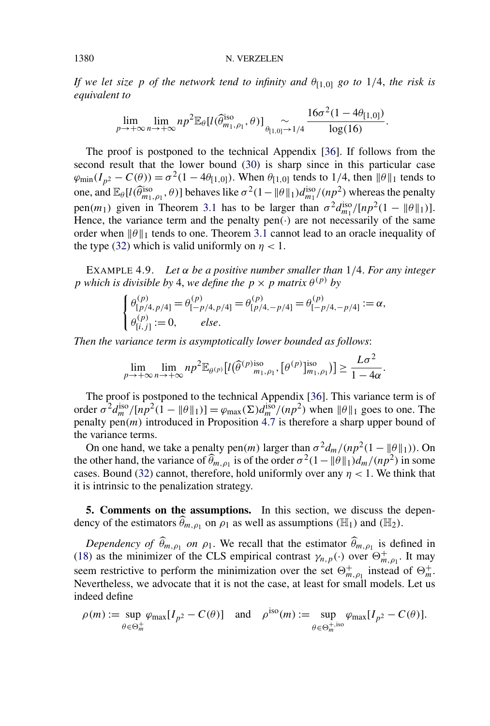*If we let size p of the network tend to infinity and*  $\theta_{11,01}$  *go to* 1/4, *the risk is equivalent to*

$$
\lim_{p\to+\infty}\lim_{n\to+\infty}np^2\mathbb{E}_{\theta}[l(\widehat{\theta}_{m_1,\rho_1}^{\text{iso}},\theta)]\underset{\theta_{[1,0]}\to{1/4}}{\sim}\frac{16\sigma^2(1-4\theta_{[1,0]})}{\log(16)}.
$$

The proof is postponed to the technical Appendix [36]. If follows from the second result that the lower bound (30) is sharp since in this particular case  $\varphi_{\text{min}}(I_{p^2} - C(\theta)) = \sigma^2(1 - 4\theta_{[1,0]})$ . When  $\theta_{[1,0]}$  tends to 1/4, then  $\|\theta\|_1$  tends to one, and  $\mathbb{E}_{\theta}[l(\widehat{\theta}_{m_1,\rho_1}^{\text{iso}},\theta)]$  behaves like  $\sigma^2(1-\|\theta\|_1)d_{m_1}^{\text{iso}}/(np^2)$  whereas the penalty pen $(m_1)$  given in Theorem 3.1 has to be larger than  $\sigma^2 d_{m_1}^{\text{iso}} / [np^2(1 - \|\theta\|_1)].$ Hence, the variance term and the penalty  $pen(\cdot)$  are not necessarily of the same order when  $\|\theta\|_1$  tends to one. Theorem 3.1 cannot lead to an oracle inequality of the type (32) which is valid uniformly on  $\eta$  < 1.

EXAMPLE 4.9. *Let α be a positive number smaller than* 1*/*4. *For any integer p* which is divisible by 4, we define the  $p \times p$  matrix  $\theta^{(p)}$  by

$$
\begin{cases} \theta_{[p/4,p/4]}^{(p)} = \theta_{[-p/4,p/4]}^{(p)} = \theta_{[p/4,-p/4]}^{(p)} = \theta_{[-p/4,-p/4]}^{(p)} := \alpha, \\ \theta_{[i,j]}^{(p)} := 0, \qquad else. \end{cases}
$$

*Then the variance term is asymptotically lower bounded as follows*:

$$
\lim_{p\to+\infty}\lim_{n\to+\infty}np^2\mathbb{E}_{\theta^{(p)}}[l(\widehat{\theta}^{(p)}_{m_1,\rho_1},[\theta^{(p)}_{m_1,\rho_1})]\geq \frac{L\sigma^2}{1-4\alpha}.
$$

The proof is postponed to the technical Appendix [36]. This variance term is of order  $\sigma^2 d_m^{\text{iso}} / [np^2(1 - ||\theta||_1)] = \varphi_{\text{max}}(\Sigma) d_m^{\text{iso}} / (np^2)$  when  $||\theta||_1$  goes to one. The penalty pen*(m)* introduced in Proposition 4.7 is therefore a sharp upper bound of the variance terms.

On one hand, we take a penalty pen $(m)$  larger than  $\sigma^2 d_m / (np^2(1 - ||\theta||_1))$ . On the other hand, the variance of  $\widehat{\theta}_{m,\rho_1}$  is of the order  $\sigma^2(1-\|\theta\|_1)d_m/(np^2)$  in some cases. Bound (32) cannot, therefore, hold uniformly over any  $\eta$  < 1. We think that it is intrinsic to the penalization strategy.

**5. Comments on the assumptions.** In this section, we discuss the dependency of the estimators  $\widehat{\theta}_{m,\rho_1}$  on  $\rho_1$  as well as assumptions ( $\mathbb{H}_1$ ) and ( $\mathbb{H}_2$ ).

*Dependency of*  $\hat{\theta}_{m,p_1}$  *on*  $\rho_1$ . We recall that the estimator  $\hat{\theta}_{m,p_1}$  is defined in (18) as the minimizer of the CLS empirical contrast  $\gamma_{n,p}(\cdot)$  over  $\Theta_{m,\rho_1}^+$ . It may seem restrictive to perform the minimization over the set  $\Theta_{m,\rho_1}^+$  instead of  $\Theta_m^+$ . Nevertheless, we advocate that it is not the case, at least for small models. Let us indeed define

$$
\rho(m) := \sup_{\theta \in \Theta_m^+} \varphi_{\max}[I_{p^2} - C(\theta)] \quad \text{and} \quad \rho^{\text{iso}}(m) := \sup_{\theta \in \Theta_m^+, \text{iso}} \varphi_{\max}[I_{p^2} - C(\theta)].
$$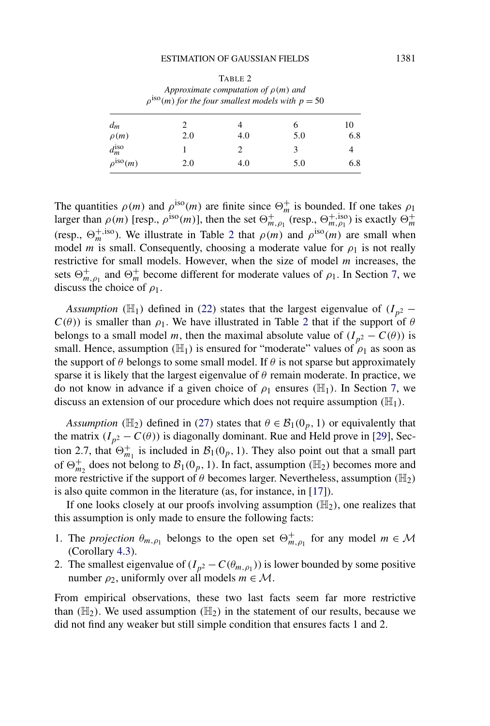| Approximate computation of $\rho(m)$ and<br>$\rho^{\text{iso}}(m)$ for the four smallest models with $p = 50$ |     |     |     |           |  |
|---------------------------------------------------------------------------------------------------------------|-----|-----|-----|-----------|--|
| $d_m$<br>$\rho(m)$                                                                                            | 2.0 | 4.0 | 5.0 | 10<br>6.8 |  |
| $d_m^{\rm iso}$                                                                                               |     |     | 3   |           |  |
| $\rho^{\text{iso}}(m)$                                                                                        | 2.0 | 4.0 | 5.0 | 6.8       |  |

TABLE 2

The quantities  $\rho(m)$  and  $\rho^{\text{iso}}(m)$  are finite since  $\Theta_m^+$  is bounded. If one takes  $\rho_1$ larger than  $\rho(m)$  [resp.,  $\rho^{iso}(m)$ ], then the set  $\Theta_{m,\rho_1}^+$  (resp.,  $\Theta_{m,\rho_1}^{+,iso}$ ) is exactly  $\Theta_m^+$ (resp.,  $\Theta_m^{+,iso}$ ). We illustrate in Table 2 that  $\rho(m)$  and  $\rho^{iso}(m)$  are small when model *m* is small. Consequently, choosing a moderate value for  $\rho_1$  is not really restrictive for small models. However, when the size of model *m* increases, the sets  $\Theta_{m,\rho_1}^+$  and  $\Theta_m^+$  become different for moderate values of  $\rho_1$ . In Section 7, we discuss the choice of *ρ*1.

*Assumption* ( $\mathbb{H}_1$ ) defined in (22) states that the largest eigenvalue of  $(I_{p^2} - I_p)$  $C(\theta)$ ) is smaller than  $\rho_1$ . We have illustrated in Table 2 that if the support of  $\theta$ belongs to a small model *m*, then the maximal absolute value of  $(I_{p^2} - C(\theta))$  is small. Hence, assumption  $(H_1)$  is ensured for "moderate" values of  $\rho_1$  as soon as the support of  $\theta$  belongs to some small model. If  $\theta$  is not sparse but approximately sparse it is likely that the largest eigenvalue of  $\theta$  remain moderate. In practice, we do not know in advance if a given choice of  $\rho_1$  ensures ( $\mathbb{H}_1$ ). In Section 7, we discuss an extension of our procedure which does not require assumption  $(\mathbb{H}_1)$ .

*Assumption* ( $\mathbb{H}_2$ ) defined in (27) states that  $\theta \in \mathcal{B}_1(0_p, 1)$  or equivalently that the matrix  $(I_{p^2} - C(\theta))$  is diagonally dominant. Rue and Held prove in [29], Section 2.7, that  $\Theta_{m_1}^+$  is included in  $\mathcal{B}_1(0_p, 1)$ . They also point out that a small part of  $\Theta_{m_2}^+$  does not belong to  $\mathcal{B}_1(0_p, 1)$ . In fact, assumption ( $\mathbb{H}_2$ ) becomes more and more restrictive if the support of *θ* becomes larger. Nevertheless, assumption *(*H2*)* is also quite common in the literature (as, for instance, in [17]).

If one looks closely at our proofs involving assumption  $(\mathbb{H}_2)$ , one realizes that this assumption is only made to ensure the following facts:

- 1. The *projection*  $\theta_{m,\rho_1}$  belongs to the open set  $\Theta_{m,\rho_1}^+$  for any model  $m \in \mathcal{M}$ (Corollary 4.3).
- 2. The smallest eigenvalue of  $(I_{p^2} C(\theta_{m,p_1}))$  is lower bounded by some positive number  $\rho_2$ , uniformly over all models  $m \in \mathcal{M}$ .

From empirical observations, these two last facts seem far more restrictive than  $(\mathbb{H}_2)$ . We used assumption  $(\mathbb{H}_2)$  in the statement of our results, because we did not find any weaker but still simple condition that ensures facts 1 and 2.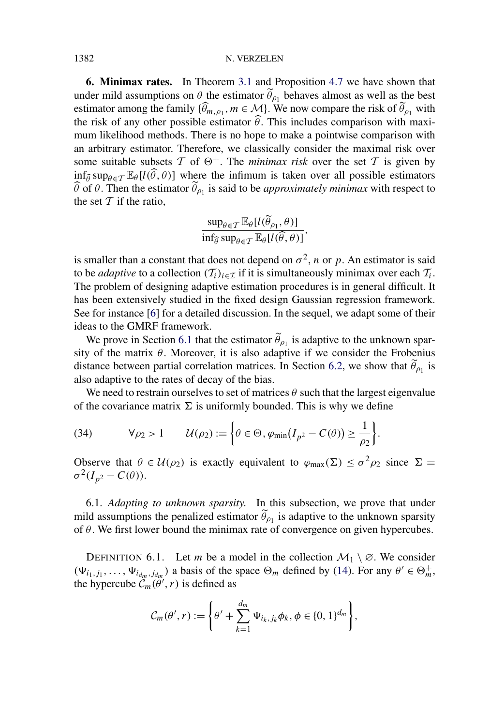#### 1382 N. VERZELEN

**6. Minimax rates.** In Theorem 3.1 and Proposition 4.7 we have shown that under mild assumptions on  $\theta$  the estimator  $\tilde{\theta}_{\rho_1}$  behaves almost as well as the best estimator among the family  $\{\widehat{\theta}_{m,\rho_1}, m \in \mathcal{M}\}\)$ . We now compare the risk of  $\widetilde{\theta}_{\rho_1}$  with the risk of any other possible estimator  $\hat{\theta}$ . This includes comparison with maximum likelihood methods. There is no hope to make a pointwise comparison with an arbitrary estimator. Therefore, we classically consider the maximal risk over some suitable subsets  $T$  of  $\Theta^+$ . The *minimax risk* over the set  $T$  is given by  $\inf_{\widehat{\theta}} \sup_{\theta \in \mathcal{T}} \mathbb{E}_{\theta}[l(\widehat{\theta}, \theta)]$  where the infimum is taken over all possible estimators  $\theta$  of  $\theta$ . Then the estimator  $\theta_{\rho_1}$  is said to be *approximately minimax* with respect to the set  $T$  if the ratio,

$$
\frac{\sup_{\theta \in \mathcal{T}} \mathbb{E}_{\theta}[l(\widetilde{\theta}_{\rho_1}, \theta)]}{\inf_{\widehat{\theta}} \sup_{\theta \in \mathcal{T}} \mathbb{E}_{\theta}[l(\widehat{\theta}, \theta)]},
$$

is smaller than a constant that does not depend on  $\sigma^2$ , *n* or *p*. An estimator is said to be *adaptive* to a collection  $(T_i)_{i \in \mathcal{I}}$  if it is simultaneously minimax over each  $T_i$ . The problem of designing adaptive estimation procedures is in general difficult. It has been extensively studied in the fixed design Gaussian regression framework. See for instance [6] for a detailed discussion. In the sequel, we adapt some of their ideas to the GMRF framework.

We prove in Section 6.1 that the estimator  $\tilde{\theta}_{\rho_1}$  is adaptive to the unknown sparsity of the matrix  $\theta$ . Moreover, it is also adaptive if we consider the Frobenius distance between partial correlation matrices. In Section 6.2, we show that  $\tilde{\theta}_{\rho_1}$  is also adaptive to the rates of decay of the bias.

We need to restrain ourselves to set of matrices  $\theta$  such that the largest eigenvalue of the covariance matrix  $\Sigma$  is uniformly bounded. This is why we define

(34) 
$$
\forall \rho_2 > 1 \qquad \mathcal{U}(\rho_2) := \left\{ \theta \in \Theta, \varphi_{\min}(I_{p^2} - C(\theta)) \geq \frac{1}{\rho_2} \right\}.
$$

Observe that  $\theta \in \mathcal{U}(\rho_2)$  is exactly equivalent to  $\varphi_{\text{max}}(\Sigma) \leq \sigma^2 \rho_2$  since  $\Sigma =$  $\sigma^2(I_{n^2}-C(\theta)).$ 

6.1. *Adapting to unknown sparsity*. In this subsection, we prove that under mild assumptions the penalized estimator  $\tilde{\theta}_{\rho_1}$  is adaptive to the unknown sparsity of *θ*. We first lower bound the minimax rate of convergence on given hypercubes.

DEFINITION 6.1. Let *m* be a model in the collection  $\mathcal{M}_1 \setminus \emptyset$ . We consider  $(\Psi_{i_1,j_1}, \ldots, \Psi_{i_{dm},j_{dm}})$  a basis of the space  $\Theta_m$  defined by (14). For any  $\theta' \in \Theta_m^+$ , the hypercube  $\mathcal{C}_m(\theta', r)$  is defined as

$$
\mathcal{C}_m(\theta',r) := \left\{\theta' + \sum_{k=1}^{d_m} \Psi_{i_k,j_k} \phi_k, \phi \in \{0,1\}^{d_m} \right\},\
$$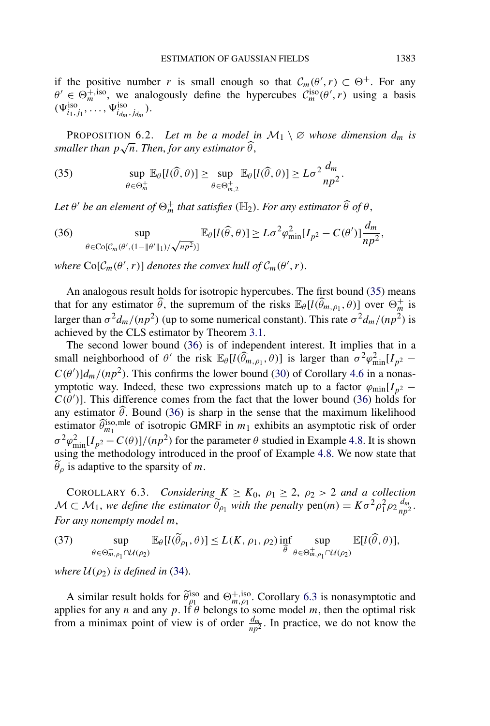if the positive number *r* is small enough so that  $C_m(\theta', r) \subset \Theta^+$ . For any  $\theta' \in \Theta_m^{+,iso}$ , we analogously define the hypercubes  $C_m^{iso}(\theta', r)$  using a basis  $(\Psi_{i_1, j_1}^{\text{iso}}, \dots, \Psi_{i_{d_m}, j_{d_m}}^{\text{iso}}).$ 

PROPOSITION 6.2. Let *m* be a model in  $M_1 \setminus \emptyset$  whose dimension  $d_m$  is *smaller than*  $p\sqrt{n}$ . *Then, for any estimator*  $\widehat{\theta}$ ,

(35) 
$$
\sup_{\theta \in \Theta_m^+} \mathbb{E}_{\theta}[l(\widehat{\theta}, \theta)] \geq \sup_{\theta \in \Theta_{m,2}^+} \mathbb{E}_{\theta}[l(\widehat{\theta}, \theta)] \geq L\sigma^2 \frac{d_m}{np^2}.
$$

Let  $\theta'$  be an element of  $\Theta_m^+$  that satisfies ( $\mathbb{H}_2$ ). For any estimator  $\widehat{\theta}$  of  $\theta$ ,

(36) 
$$
\sup_{\theta \in \text{Co}[\mathcal{C}_m(\theta', (1 - \|\theta'\|_1)/\sqrt{np^2})]} \mathbb{E}_{\theta}[l(\widehat{\theta}, \theta)] \geq L\sigma^2 \varphi_{\min}^2[I_{p^2} - C(\theta')] \frac{d_m}{np^2},
$$

*where*  $\text{Co}[\mathcal{C}_m(\theta', r)]$  *denotes the convex hull of*  $\mathcal{C}_m(\theta', r)$ *.* 

An analogous result holds for isotropic hypercubes. The first bound (35) means that for any estimator  $\widehat{\theta}$ , the supremum of the risks  $\mathbb{E}_{\theta}[l(\widehat{\theta}_{m,\rho_1},\theta)]$  over  $\Theta_m^+$  is larger than  $\sigma^2 d_m/(np^2)$  (up to some numerical constant). This rate  $\sigma^2 d_m/(np^2)$  is achieved by the CLS estimator by Theorem 3.1.

The second lower bound (36) is of independent interest. It implies that in a small neighborhood of  $\theta'$  the risk  $\mathbb{E}_{\theta}[l(\widehat{\theta}_{m,\rho_1}, \theta)]$  is larger than  $\sigma^2 \varphi_{\min}^2[I_{p^2} C(\theta')$ ] $d_m/(np^2)$ . This confirms the lower bound (30) of Corollary 4.6 in a nonasymptotic way. Indeed, these two expressions match up to a factor  $\varphi_{\text{min}}[I_{p^2} C(\theta')$ ]. This difference comes from the fact that the lower bound (36) holds for any estimator  $\theta$ . Bound (36) is sharp in the sense that the maximum likelihood estimator  $\widehat{\theta}_{m_1}^{\text{iso,mle}}$  of isotropic GMRF in  $m_1$  exhibits an asymptotic risk of order  $\sigma^2 \varphi_{\min}^2 [I_{p^2} - C(\theta)]/(np^2)$  for the parameter  $\theta$  studied in Example 4.8. It is shown using the methodology introduced in the proof of Example 4.8. We now state that *θρ* is adaptive to the sparsity of *m*.

COROLLARY 6.3. *Considering*  $K \geq K_0$ ,  $\rho_1 \geq 2$ ,  $\rho_2 > 2$  *and a collection*  $M \subset M_1$ , we define the estimator  $\widetilde{\theta}_{\rho_1}$  with the penalty  $pen(m) = K\sigma^2\rho_1^2\rho_2\frac{d_m}{np^2}$ . *For any nonempty model m*,

(37) 
$$
\sup_{\theta \in \Theta_{m,\rho_1}^+ \cap \mathcal{U}(\rho_2)} \mathbb{E}_{\theta}[l(\widetilde{\theta}_{\rho_1}, \theta)] \le L(K, \rho_1, \rho_2) \inf_{\widehat{\theta}} \sup_{\theta \in \Theta_{m,\rho_1}^+ \cap \mathcal{U}(\rho_2)} \mathbb{E}[l(\widehat{\theta}, \theta)],
$$

*where*  $U(\rho_2)$  *is defined in* (34).

A similar result holds for  $\tilde{\theta}_{\rho_1}^{iso}$  and  $\Theta_{m,\rho_1}^{+,iso}$ . Corollary 6.3 is nonasymptotic and applies for any *n* and any  $p$ . If  $\theta$  belongs to some model  $m$ , then the optimal risk from a minimax point of view is of order  $\frac{d_m}{np^2}$ . In practice, we do not know the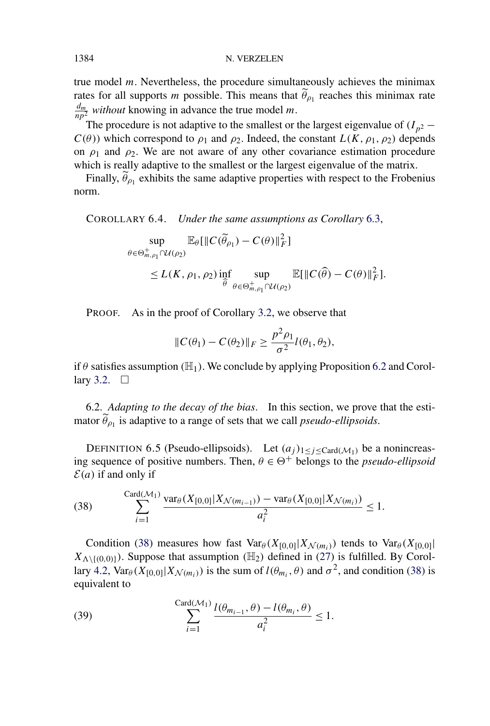true model *m*. Nevertheless, the procedure simultaneously achieves the minimax rates for all supports *m* possible. This means that  $\tilde{\theta}_{\rho_1}$  reaches this minimax rate  $\frac{d_m}{np^2}$  *without* knowing in advance the true model *m*.

The procedure is not adaptive to the smallest or the largest eigenvalue of  $(I_{p^2} - I_p)$  $C(\theta)$ ) which correspond to  $\rho_1$  and  $\rho_2$ . Indeed, the constant  $L(K, \rho_1, \rho_2)$  depends on  $\rho_1$  and  $\rho_2$ . We are not aware of any other covariance estimation procedure which is really adaptive to the smallest or the largest eigenvalue of the matrix.

Finally,  $\widetilde{\theta}_{\rho_1}$  exhibits the same adaptive properties with respect to the Frobenius norm.

COROLLARY 6.4. *Under the same assumptions as Corollary* 6.3,

sup  $\theta \in \Theta_{m,\rho_1}^+ \cap \mathcal{U}(\rho_2)$  $\mathbb{E}_{\theta}[\Vert C(\widetilde{\theta}_{\rho_1}) - C(\theta) \Vert_F^2]$  $\leq L(K, \rho_1, \rho_2)$ inf -*θ* sup  $\theta \in \Theta_{m,\rho_1}^+ \cap \mathcal{U}(\rho_2)$  $\mathbb{E}[\Vert C(\widehat{\theta}) - C(\theta) \Vert_F^2].$ 

PROOF. As in the proof of Corollary 3.2, we observe that

$$
||C(\theta_1) - C(\theta_2)||_F \ge \frac{p^2 \rho_1}{\sigma^2} l(\theta_1, \theta_2),
$$

if  $\theta$  satisfies assumption ( $\mathbb{H}_1$ ). We conclude by applying Proposition 6.2 and Corollary 3.2.  $\Box$ 

6.2. *Adapting to the decay of the bias*. In this section, we prove that the estimator  $\widetilde{\theta}_{\rho_1}$  is adaptive to a range of sets that we call *pseudo-ellipsoids*.

DEFINITION 6.5 (Pseudo-ellipsoids). Let  $(a_j)_{1 \leq j \leq \text{Card}(\mathcal{M}_1)}$  be a nonincreasing sequence of positive numbers. Then,  $\theta \in \Theta^+$  belongs to the *pseudo-ellipsoid*  $\mathcal{E}(a)$  if and only if

(38) 
$$
\sum_{i=1}^{\text{Card}(\mathcal{M}_1)} \frac{\text{var}_{\theta}(X_{[0,0]}|X_{\mathcal{N}(m_{i-1})}) - \text{var}_{\theta}(X_{[0,0]}|X_{\mathcal{N}(m_i)})}{a_i^2} \leq 1.
$$

Condition (38) measures how fast  $Var_{\theta}(X_{[0,0]}|X_{\mathcal{N}(m_i)})$  tends to  $Var_{\theta}(X_{[0,0]}|)$  $X_{\Lambda \setminus \{(0,0)\}}$ ). Suppose that assumption *(H<sub>2</sub>)* defined in (27) is fulfilled. By Corollary 4.2,  $Var_{\theta}(X_{[0,0]}|X_{\mathcal{N}(m_i)})$  is the sum of  $l(\theta_{m_i}, \theta)$  and  $\sigma^2$ , and condition (38) is equivalent to

(39) 
$$
\sum_{i=1}^{\text{Card}(\mathcal{M}_1)} \frac{l(\theta_{m_{i-1}}, \theta) - l(\theta_{m_i}, \theta)}{a_i^2} \le 1.
$$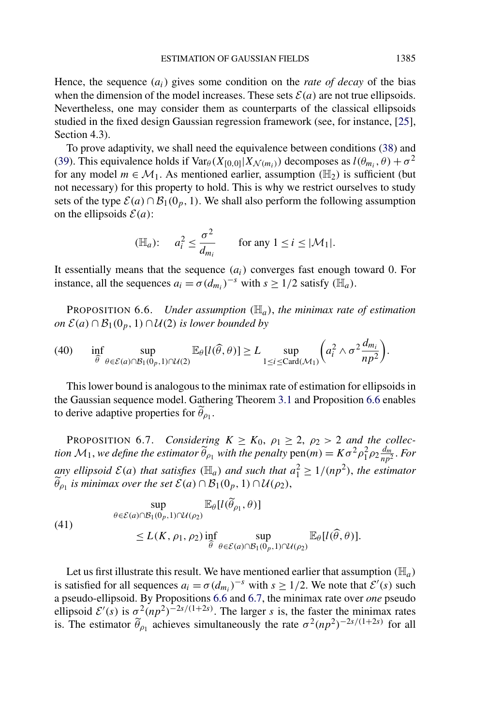Hence, the sequence (*ai*) gives some condition on the *rate of decay* of the bias when the dimension of the model increases. These sets  $\mathcal{E}(a)$  are not true ellipsoids. Nevertheless, one may consider them as counterparts of the classical ellipsoids studied in the fixed design Gaussian regression framework (see, for instance, [25], Section 4.3).

To prove adaptivity, we shall need the equivalence between conditions (38) and (39). This equivalence holds if  $Var_{\theta}(X_{[0,0]}|X_{\mathcal{N}(m_i)})$  decomposes as  $l(\theta_{m_i}, \theta) + \sigma^2$ for any model  $m \in \mathcal{M}_1$ . As mentioned earlier, assumption *(H<sub>2</sub>)* is sufficient *(but)* not necessary) for this property to hold. This is why we restrict ourselves to study sets of the type  $\mathcal{E}(a) \cap \mathcal{B}_1(0, b, 1)$ . We shall also perform the following assumption on the ellipsoids  $\mathcal{E}(a)$ :

$$
(\mathbb{H}_a): \quad a_i^2 \le \frac{\sigma^2}{d_{m_i}} \quad \text{for any } 1 \le i \le |\mathcal{M}_1|.
$$

It essentially means that the sequence  $(a_i)$  converges fast enough toward 0. For instance, all the sequences  $a_i = \sigma(d_{m_i})^{-s}$  with  $s \geq 1/2$  satisfy  $(\mathbb{H}_a)$ .

PROPOSITION 6.6. *Under assumption (*H*a)*, *the minimax rate of estimation on*  $\mathcal{E}(a) \cap \mathcal{B}_1(0_p, 1) \cap \mathcal{U}(2)$  *is lower bounded by* 

inf -*θ* sup *θ*∈E*(a)*∩B1*(*0*p,*1*)*∩U*(*2*)*  $\mathbb{E}_{\theta}[l(\widehat{\theta}, \theta)] \ge L$  sup 1≤*i*≤Card*(*M1*)*  $\left(a_i^2 \wedge \sigma^2 \frac{d_{m_i}}{np^2}\right)$ (40) inf sup  $\mathbb{E}_{\theta}[l(\widehat{\theta},\theta)] \ge L$  sup  $(a_i^2 \wedge \sigma^2 \frac{d_{m_i}}{2}).$ 

This lower bound is analogous to the minimax rate of estimation for ellipsoids in the Gaussian sequence model. Gathering Theorem 3.1 and Proposition 6.6 enables to derive adaptive properties for  $\widetilde{\theta}_{\rho_1}$ .

PROPOSITION 6.7. *Considering*  $K \geq K_0$ ,  $\rho_1 \geq 2$ ,  $\rho_2 > 2$  *and the collection*  $M_1$ , *we define the estimator*  $\widetilde{\theta}_{\rho_1}$  *with the penalty*  $pen(m) = K\sigma^2\rho_1^2\rho_2\frac{d_m}{np^2}$ . For *any ellipsoid*  $\mathcal{E}(a)$  *that satisfies*  $(\mathbb{H}_a)$  *and such that*  $a_1^2 \ge 1/(np^2)$ *, the estimator*  $\widetilde{\theta}_{\rho_1}$  *is minimax over the set*  $\mathcal{E}(a) \cap \mathcal{B}_1(0_p, 1) \cap \mathcal{U}(\rho_2)$ ,

$$
\sup_{\theta \in \mathcal{E}(a) \cap \mathcal{B}_1(0_p, 1) \cap \mathcal{U}(\rho_2)} \mathbb{E}_{\theta}[l(\widetilde{\theta}_{\rho_1}, \theta)]
$$
\n
$$
\leq L(K, \rho_1, \rho_2) \inf_{\widehat{\theta}} \sup_{\theta \in \mathcal{E}(a) \cap \mathcal{B}_1(0_p, 1) \cap \mathcal{U}(\rho_2)} \mathbb{E}_{\theta}[l(\widehat{\theta}, \theta)].
$$

Let us first illustrate this result. We have mentioned earlier that assumption  $(\mathbb{H}_a)$ is satisfied for all sequences  $a_i = \sigma(d_{m_i})^{-s}$  with  $s \ge 1/2$ . We note that  $\mathcal{E}'(s)$  such a pseudo-ellipsoid. By Propositions 6.6 and 6.7, the minimax rate over *one* pseudo ellipsoid  $\mathcal{E}'(s)$  is  $\sigma^2 (np^2)^{-2s/(1+2s)}$ . The larger *s* is, the faster the minimax rates is. The estimator  $\tilde{\theta}_{\rho_1}$  achieves simultaneously the rate  $\sigma^2(np^2)^{-2s/(1+2s)}$  for all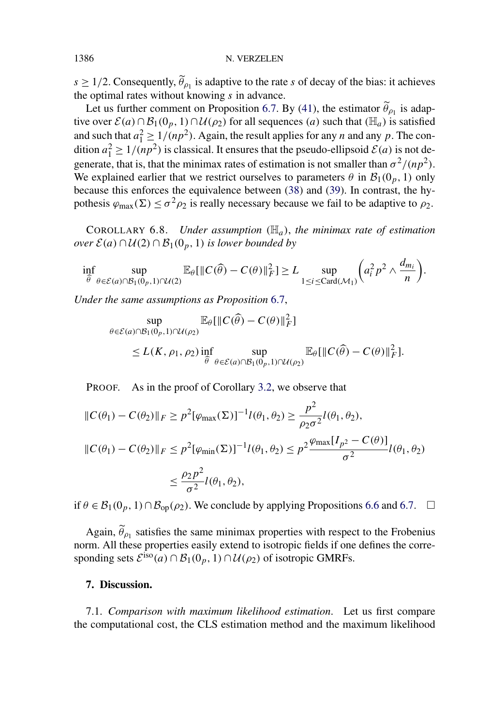$s \geq 1/2$ . Consequently,  $\tilde{\theta}_{\rho_1}$  is adaptive to the rate *s* of decay of the bias: it achieves the optimal rates without knowing *s* in advance.

Let us further comment on Proposition 6.7. By (41), the estimator  $\widetilde{\theta}_{\rho_1}$  is adaptive over  $\mathcal{E}(a) \cap \mathcal{B}_1(0_p, 1) \cap \mathcal{U}(\rho_2)$  for all sequences *(a)* such that  $(\mathbb{H}_a)$  is satisfied and such that  $a_1^2 \ge 1/(np^2)$ . Again, the result applies for any *n* and any *p*. The condition  $a_1^2 \ge 1/(np^2)$  is classical. It ensures that the pseudo-ellipsoid  $\mathcal{E}(a)$  is not degenerate, that is, that the minimax rates of estimation is not smaller than  $\sigma^2/(np^2)$ . We explained earlier that we restrict ourselves to parameters  $\theta$  in  $\mathcal{B}_1(0_p, 1)$  only because this enforces the equivalence between (38) and (39). In contrast, the hypothesis  $\varphi_{\text{max}}(\Sigma) \le \sigma^2 \rho_2$  is really necessary because we fail to be adaptive to  $\rho_2$ .

COROLLARY 6.8. *Under assumption*  $(H_a)$ , the minimax rate of estimation *over*  $\mathcal{E}(a) \cap \mathcal{U}(2) \cap \mathcal{B}_1(0, 1)$  *is lower bounded by* 

$$
\inf_{\widehat{\theta}} \sup_{\theta \in \mathcal{E}(a) \cap \mathcal{B}_1(0_p, 1) \cap \mathcal{U}(2)} \mathbb{E}_{\theta} [\|C(\widehat{\theta}) - C(\theta)\|_F^2] \ge L \sup_{1 \le i \le \text{Card}(\mathcal{M}_1)} \bigg( a_i^2 p^2 \wedge \frac{d_{m_i}}{n} \bigg).
$$

*Under the same assumptions as Proposition* 6.7,

$$
\sup_{\theta \in \mathcal{E}(a) \cap \mathcal{B}_1(0_p, 1) \cap \mathcal{U}(\rho_2)} \mathbb{E}_{\theta} [\|C(\widehat{\theta}) - C(\theta)\|_F^2]
$$
\n
$$
\leq L(K, \rho_1, \rho_2) \inf_{\widehat{\theta}} \sup_{\theta \in \mathcal{E}(a) \cap \mathcal{B}_1(0_p, 1) \cap \mathcal{U}(\rho_2)} \mathbb{E}_{\theta} [\|C(\widehat{\theta}) - C(\theta)\|_F^2].
$$

PROOF. As in the proof of Corollary 3.2, we observe that

$$
||C(\theta_1) - C(\theta_2)||_F \ge p^2 [\varphi_{\max}(\Sigma)]^{-1} l(\theta_1, \theta_2) \ge \frac{p^2}{\rho_2 \sigma^2} l(\theta_1, \theta_2),
$$
  

$$
||C(\theta_1) - C(\theta_2)||_F \le p^2 [\varphi_{\min}(\Sigma)]^{-1} l(\theta_1, \theta_2) \le p^2 \frac{\varphi_{\max}[I_{p^2} - C(\theta)]}{\sigma^2} l(\theta_1, \theta_2)
$$
  

$$
\le \frac{\rho_2 p^2}{\sigma^2} l(\theta_1, \theta_2),
$$

if  $\theta \in \mathcal{B}_1(0_p, 1) \cap \mathcal{B}_{op}(\rho_2)$ . We conclude by applying Propositions 6.6 and 6.7.  $\Box$ 

Again,  $\tilde{\theta}_{\rho_1}$  satisfies the same minimax properties with respect to the Frobenius norm. All these properties easily extend to isotropic fields if one defines the corresponding sets  $\mathcal{E}^{\text{iso}}(a) \cap \mathcal{B}_1(0_p, 1) \cap \mathcal{U}(\rho_2)$  of isotropic GMRFs.

## **7. Discussion.**

7.1. *Comparison with maximum likelihood estimation*. Let us first compare the computational cost, the CLS estimation method and the maximum likelihood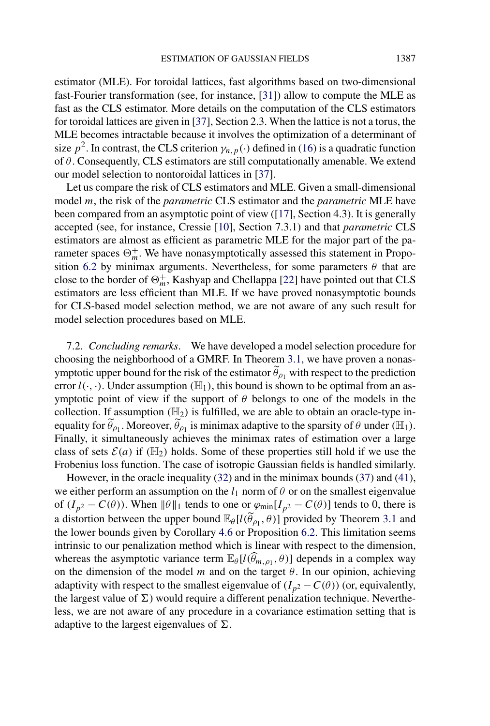estimator (MLE). For toroidal lattices, fast algorithms based on two-dimensional fast-Fourier transformation (see, for instance, [31]) allow to compute the MLE as fast as the CLS estimator. More details on the computation of the CLS estimators for toroidal lattices are given in [37], Section 2.3. When the lattice is not a torus, the MLE becomes intractable because it involves the optimization of a determinant of size  $p^2$ . In contrast, the CLS criterion  $\gamma_{n,p}(\cdot)$  defined in (16) is a quadratic function of *θ*. Consequently, CLS estimators are still computationally amenable. We extend our model selection to nontoroidal lattices in [37].

Let us compare the risk of CLS estimators and MLE. Given a small-dimensional model *m*, the risk of the *parametric* CLS estimator and the *parametric* MLE have been compared from an asymptotic point of view ([17], Section 4.3). It is generally accepted (see, for instance, Cressie [10], Section 7.3.1) and that *parametric* CLS estimators are almost as efficient as parametric MLE for the major part of the parameter spaces  $\Theta_m^+$ . We have nonasymptotically assessed this statement in Proposition 6.2 by minimax arguments. Nevertheless, for some parameters  $\theta$  that are close to the border of  $\Theta_m^+$ , Kashyap and Chellappa [22] have pointed out that CLS estimators are less efficient than MLE. If we have proved nonasymptotic bounds for CLS-based model selection method, we are not aware of any such result for model selection procedures based on MLE.

7.2. *Concluding remarks*. We have developed a model selection procedure for choosing the neighborhood of a GMRF. In Theorem 3.1, we have proven a nonasymptotic upper bound for the risk of the estimator  $\tilde{\theta}_{\rho_1}$  with respect to the prediction error  $l(\cdot, \cdot)$ . Under assumption  $(\mathbb{H}_1)$ , this bound is shown to be optimal from an asymptotic point of view if the support of *θ* belongs to one of the models in the collection. If assumption  $(\mathbb{H}_2)$  is fulfilled, we are able to obtain an oracle-type inequality for  $\widetilde{\theta}_{\rho_1}$ . Moreover,  $\widetilde{\theta}_{\rho_1}$  is minimax adaptive to the sparsity of  $\theta$  under  $(\mathbb{H}_1)$ . Finally, it simultaneously achieves the minimax rates of estimation over a large class of sets  $\mathcal{E}(a)$  if  $(\mathbb{H}_2)$  holds. Some of these properties still hold if we use the Frobenius loss function. The case of isotropic Gaussian fields is handled similarly.

However, in the oracle inequality (32) and in the minimax bounds (37) and (41), we either perform an assumption on the  $l_1$  norm of  $\theta$  or on the smallest eigenvalue of  $(I_{p^2} - C(\theta))$ . When  $\|\theta\|_1$  tends to one or  $\varphi_{\text{min}}[I_{p^2} - C(\theta)]$  tends to 0, there is a distortion between the upper bound  $\mathbb{E}_{\theta}[l(\widetilde{\theta}_{\rho_1}, \theta)]$  provided by Theorem 3.1 and the lower bounds given by Corollary 4.6 or Proposition 6.2. This limitation seems intrinsic to our penalization method which is linear with respect to the dimension, whereas the asymptotic variance term  $\mathbb{E}_{\theta}[l(\widehat{\theta}_{m,\rho_1}, \theta)]$  depends in a complex way on the dimension of the model  $m$  and on the target  $\theta$ . In our opinion, achieving adaptivity with respect to the smallest eigenvalue of  $(I_{p^2} - C(\theta))$  (or, equivalently, the largest value of  $\Sigma$ ) would require a different penalization technique. Nevertheless, we are not aware of any procedure in a covariance estimation setting that is adaptive to the largest eigenvalues of  $\Sigma$ .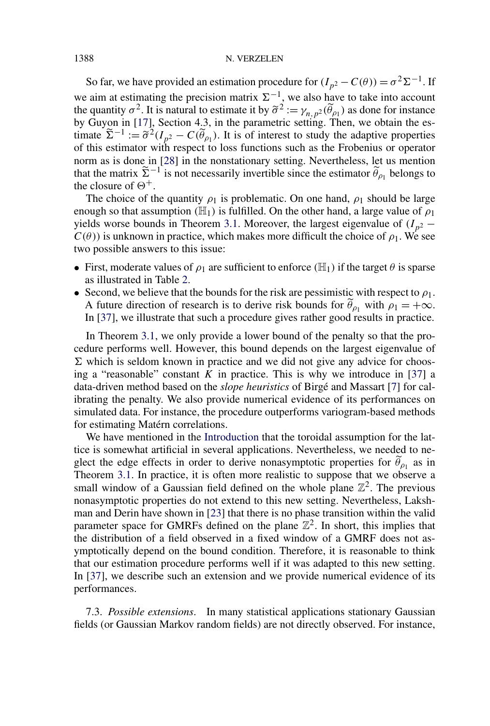So far, we have provided an estimation procedure for  $(I_{p^2} - C(\theta)) = \sigma^2 \Sigma^{-1}$ . If we aim at estimating the precision matrix  $\Sigma^{-1}$ , we also have to take into account the quantity  $\sigma^2$ . It is natural to estimate it by  $\tilde{\sigma}^2 := \gamma_{n,p^2}(\tilde{\theta}_{\rho_1})$  as done for instance by Guyon in [17], Section 4.3, in the parametric setting. Then, we obtain the estimate  $\tilde{\Sigma}^{-1} := \tilde{\sigma}^2 (I_{p^2} - C(\tilde{\theta}_{p_1})$ . It is of interest to study the adaptive properties of this estimator with respect to loss functions such as the Frobenius or operator norm as is done in [28] in the nonstationary setting. Nevertheless, let us mention that the matrix  $\tilde{\Sigma}^{-1}$  is not necessarily invertible since the estimator  $\tilde{\theta}_{\rho_1}$  belongs to the closure of  $\Theta^+$ .

The choice of the quantity  $\rho_1$  is problematic. On one hand,  $\rho_1$  should be large enough so that assumption  $(H_1)$  is fulfilled. On the other hand, a large value of  $\rho_1$ yields worse bounds in Theorem 3.1. Moreover, the largest eigenvalue of  $(I_{p^2} C(\theta)$ ) is unknown in practice, which makes more difficult the choice of  $\rho_1$ . We see two possible answers to this issue:

- First, moderate values of  $\rho_1$  are sufficient to enforce  $(\mathbb{H}_1)$  if the target  $\theta$  is sparse as illustrated in Table 2.
- Second, we believe that the bounds for the risk are pessimistic with respect to  $\rho_1$ . A future direction of research is to derive risk bounds for  $\tilde{\theta}_{\rho_1}$  with  $\rho_1 = +\infty$ . In [37], we illustrate that such a procedure gives rather good results in practice.

In Theorem 3.1, we only provide a lower bound of the penalty so that the procedure performs well. However, this bound depends on the largest eigenvalue of  $\Sigma$  which is seldom known in practice and we did not give any advice for choosing a "reasonable" constant  $K$  in practice. This is why we introduce in [37] a data-driven method based on the *slope heuristics* of Birgé and Massart [7] for calibrating the penalty. We also provide numerical evidence of its performances on simulated data. For instance, the procedure outperforms variogram-based methods for estimating Matérn correlations.

We have mentioned in the Introduction that the toroidal assumption for the lattice is somewhat artificial in several applications. Nevertheless, we needed to neglect the edge effects in order to derive nonasymptotic properties for  $\theta_{\rho_1}$  as in Theorem 3.1. In practice, it is often more realistic to suppose that we observe a small window of a Gaussian field defined on the whole plane  $\mathbb{Z}^2$ . The previous nonasymptotic properties do not extend to this new setting. Nevertheless, Lakshman and Derin have shown in [23] that there is no phase transition within the valid parameter space for GMRFs defined on the plane  $\mathbb{Z}^2$ . In short, this implies that the distribution of a field observed in a fixed window of a GMRF does not asymptotically depend on the bound condition. Therefore, it is reasonable to think that our estimation procedure performs well if it was adapted to this new setting. In [37], we describe such an extension and we provide numerical evidence of its performances.

7.3. *Possible extensions*. In many statistical applications stationary Gaussian fields (or Gaussian Markov random fields) are not directly observed. For instance,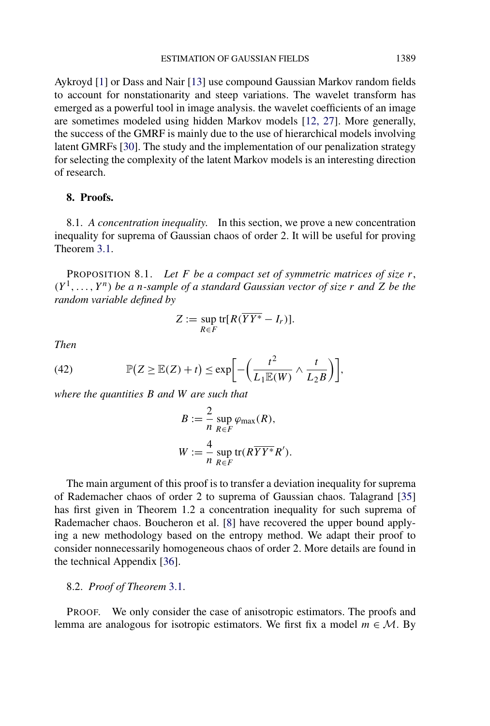Aykroyd [1] or Dass and Nair [13] use compound Gaussian Markov random fields to account for nonstationarity and steep variations. The wavelet transform has emerged as a powerful tool in image analysis. the wavelet coefficients of an image are sometimes modeled using hidden Markov models [12, 27]. More generally, the success of the GMRF is mainly due to the use of hierarchical models involving latent GMRFs [30]. The study and the implementation of our penalization strategy for selecting the complexity of the latent Markov models is an interesting direction of research.

## **8. Proofs.**

8.1. *A concentration inequality*. In this section, we prove a new concentration inequality for suprema of Gaussian chaos of order 2. It will be useful for proving Theorem 3.1.

PROPOSITION 8.1. *Let F be a compact set of symmetric matrices of size r*,  $(Y^1, \ldots, Y^n)$  *be a n-sample of a standard Gaussian vector of size r and Z be the random variable defined by*

$$
Z := \sup_{R \in F} \text{tr}[R(\overline{YY^*} - I_r)].
$$

*Then*

(42) 
$$
\mathbb{P}(Z \geq \mathbb{E}(Z) + t) \leq \exp\bigg[-\bigg(\frac{t^2}{L_1 \mathbb{E}(W)} \wedge \frac{t}{L_2 B}\bigg)\bigg],
$$

*where the quantities B and W are such that*

$$
B := \frac{2}{n} \sup_{R \in F} \varphi_{\text{max}}(R),
$$
  

$$
W := \frac{4}{n} \sup_{R \in F} \text{tr}(R\overline{YY^*}R').
$$

The main argument of this proof is to transfer a deviation inequality for suprema of Rademacher chaos of order 2 to suprema of Gaussian chaos. Talagrand [35] has first given in Theorem 1.2 a concentration inequality for such suprema of Rademacher chaos. Boucheron et al. [8] have recovered the upper bound applying a new methodology based on the entropy method. We adapt their proof to consider nonnecessarily homogeneous chaos of order 2. More details are found in the technical Appendix [36].

## 8.2. *Proof of Theorem* 3.1.

PROOF. We only consider the case of anisotropic estimators. The proofs and lemma are analogous for isotropic estimators. We first fix a model  $m \in \mathcal{M}$ . By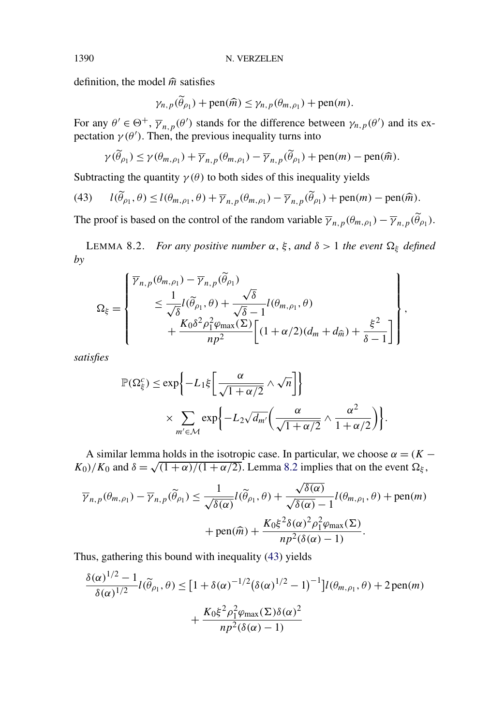definition, the model  $\hat{m}$  satisfies

$$
\gamma_{n,p}(\widetilde{\theta}_{p_1}) + \text{pen}(\widehat{m}) \leq \gamma_{n,p}(\theta_{m,p_1}) + \text{pen}(m).
$$

For any  $\theta' \in \Theta^+$ ,  $\overline{\gamma}_{n,p}(\theta')$  stands for the difference between  $\gamma_{n,p}(\theta')$  and its expectation  $\gamma(\theta')$ . Then, the previous inequality turns into

$$
\gamma(\widetilde{\theta}_{\rho_1}) \leq \gamma(\theta_{m,\rho_1}) + \overline{\gamma}_{n,p}(\theta_{m,\rho_1}) - \overline{\gamma}_{n,p}(\widetilde{\theta}_{\rho_1}) + \text{pen}(m) - \text{pen}(\widehat{m}).
$$

Subtracting the quantity  $\gamma(\theta)$  to both sides of this inequality yields

(43) 
$$
l(\widetilde{\theta}_{\rho_1}, \theta) \le l(\theta_{m,\rho_1}, \theta) + \overline{\gamma}_{n,p}(\theta_{m,\rho_1}) - \overline{\gamma}_{n,p}(\widetilde{\theta}_{\rho_1}) + \text{pen}(m) - \text{pen}(\widehat{m}).
$$

The proof is based on the control of the random variable  $\overline{\gamma}_{n,p}(\theta_{m,\rho_1}) - \overline{\gamma}_{n,p}(\tilde{\theta}_{\rho_1})$ .

LEMMA 8.2. *For any positive number*  $\alpha$ ,  $\xi$ , *and*  $\delta$  > 1 *the event*  $\Omega_{\xi}$  *defined by*

$$
\Omega_{\xi} = \begin{cases} \overline{\gamma}_{n,p}(\theta_{m,\rho_1}) - \overline{\gamma}_{n,p}(\widetilde{\theta}_{\rho_1}) \\ \leq \frac{1}{\sqrt{\delta}} l(\widetilde{\theta}_{\rho_1}, \theta) + \frac{\sqrt{\delta}}{\sqrt{\delta} - 1} l(\theta_{m,\rho_1}, \theta) \\ + \frac{K_0 \delta^2 \rho_1^2 \varphi_{\text{max}}(\Sigma)}{np^2} \bigg[ (1 + \alpha/2)(d_m + d_{\widehat{m}}) + \frac{\xi^2}{\delta - 1} \bigg] \end{cases},
$$

*satisfies*

$$
\mathbb{P}(\Omega_{\xi}^{c}) \le \exp\left\{-L_{1}\xi\left[\frac{\alpha}{\sqrt{1+\alpha/2}}\wedge\sqrt{n}\right]\right\}
$$

$$
\times \sum_{m'\in\mathcal{M}} \exp\left\{-L_{2}\sqrt{d_{m'}}\left(\frac{\alpha}{\sqrt{1+\alpha/2}}\wedge\frac{\alpha^{2}}{1+\alpha/2}\right)\right\}.
$$

A similar lemma holds in the isotropic case. In particular, we choose  $\alpha = (K - \alpha)^2$  $K_0$ *)/K*<sub>0</sub> and  $\delta = \sqrt{(1 + \alpha)/(1 + \alpha/2)}$ . Lemma 8.2 implies that on the event  $\Omega_{\xi}$ ,

$$
\overline{\gamma}_{n,p}(\theta_{m,\rho_1}) - \overline{\gamma}_{n,p}(\widetilde{\theta}_{\rho_1}) \le \frac{1}{\sqrt{\delta(\alpha)}} l(\widetilde{\theta}_{\rho_1}, \theta) + \frac{\sqrt{\delta(\alpha)}}{\sqrt{\delta(\alpha)} - 1} l(\theta_{m,\rho_1}, \theta) + \text{pen}(m) + \text{pen}(\widehat{m}) + \frac{K_0 \xi^2 \delta(\alpha)^2 \rho_1^2 \varphi_{\text{max}}(\Sigma)}{np^2(\delta(\alpha) - 1)}.
$$

Thus, gathering this bound with inequality (43) yields

$$
\frac{\delta(\alpha)^{1/2} - 1}{\delta(\alpha)^{1/2}} l(\widetilde{\theta}_{\rho_1}, \theta) \leq [1 + \delta(\alpha)^{-1/2} (\delta(\alpha)^{1/2} - 1)^{-1}] l(\theta_{m, \rho_1}, \theta) + 2 \operatorname{pen}(m)
$$

$$
+ \frac{K_0 \xi^2 \rho_1^2 \varphi_{\max}(\Sigma) \delta(\alpha)^2}{n p^2 (\delta(\alpha) - 1)}
$$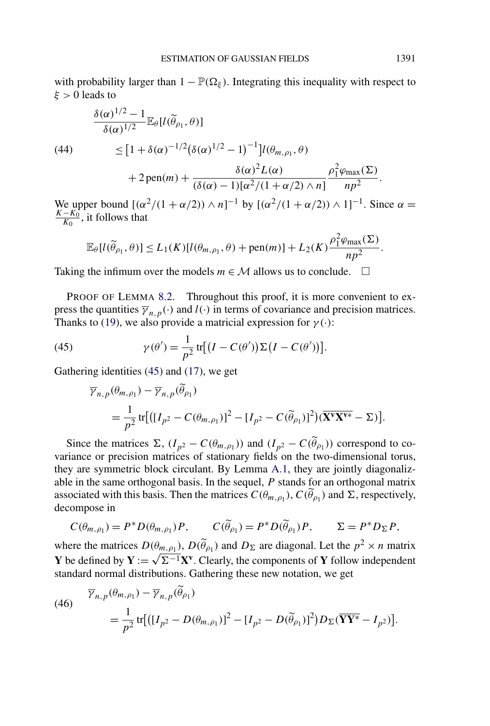with probability larger than  $1 - \mathbb{P}(\Omega_{\xi})$ . Integrating this inequality with respect to *ξ >* 0 leads to

(44)  
\n
$$
\frac{\delta(\alpha)^{1/2} - 1}{\delta(\alpha)^{1/2}} \mathbb{E}_{\theta}[l(\widetilde{\theta}_{\rho_1}, \theta)]
$$
\n
$$
\leq [1 + \delta(\alpha)^{-1/2} (\delta(\alpha)^{1/2} - 1)^{-1}] l(\theta_{m, \rho_1}, \theta)
$$
\n
$$
+ 2 \operatorname{pen}(m) + \frac{\delta(\alpha)^2 L(\alpha)}{(\delta(\alpha) - 1)[\alpha^2/(1 + \alpha/2) \wedge n]} \frac{\rho_1^2 \varphi_{\max}(\Sigma)}{np^2}.
$$

We upper bound  $[(\alpha^2/(1 + \alpha/2)) \wedge n]^{-1}$  by  $[(\alpha^2/(1 + \alpha/2)) \wedge 1]^{-1}$ . Since  $\alpha = \frac{K - K_0}{\alpha}$  it follows that  $\frac{-K_0}{K_0}$ , it follows that

$$
\mathbb{E}_{\theta}[l(\widetilde{\theta}_{\rho_1},\theta)] \le L_1(K)[l(\theta_{m,\rho_1},\theta) + \text{pen}(m)] + L_2(K)\frac{\rho_1^2\varphi_{\max}(\Sigma)}{np^2}.
$$

Taking the infimum over the models  $m \in \mathcal{M}$  allows us to conclude.  $\Box$ 

PROOF OF LEMMA 8.2. Throughout this proof, it is more convenient to express the quantities  $\overline{\gamma}_{n,p}(\cdot)$  and  $l(\cdot)$  in terms of covariance and precision matrices. Thanks to (19), we also provide a matricial expression for  $\gamma(\cdot)$ :

(45) 
$$
\gamma(\theta') = \frac{1}{p^2} tr[(I - C(\theta'))\Sigma(I - C(\theta'))].
$$

Gathering identities (45) and (17), we get

$$
\overline{\gamma}_{n,p}(\theta_{m,\rho_1}) - \overline{\gamma}_{n,p}(\tilde{\theta}_{\rho_1})
$$
\n
$$
= \frac{1}{p^2} tr[([I_{p^2} - C(\theta_{m,\rho_1})]^2 - [I_{p^2} - C(\tilde{\theta}_{\rho_1})]^2)(\overline{\mathbf{X}^{\mathbf{v}}\mathbf{X}^{\mathbf{v}*}} - \Sigma)].
$$

Since the matrices  $\Sigma$ ,  $(I_{p^2} - C(\theta_{m,\rho_1}))$  and  $(I_{p^2} - C(\tilde{\theta}_{\rho_1}))$  correspond to covariance or precision matrices of stationary fields on the two-dimensional torus, they are symmetric block circulant. By Lemma A.1, they are jointly diagonalizable in the same orthogonal basis. In the sequel, *P* stands for an orthogonal matrix associated with this basis. Then the matrices  $C(\theta_{m,\rho_1})$ ,  $C(\widetilde{\theta}_{\rho_1})$  and  $\Sigma$ , respectively, decompose in

$$
C(\theta_{m,\rho_1}) = P^* D(\theta_{m,\rho_1}) P, \qquad C(\widetilde{\theta}_{\rho_1}) = P^* D(\widetilde{\theta}_{\rho_1}) P, \qquad \Sigma = P^* D_{\Sigma} P,
$$

where the matrices  $D(\theta_{m,\rho_1})$ ,  $D(\tilde{\theta}_{\rho_1})$  and  $D_{\Sigma}$  are diagonal. Let the  $p^2 \times n$  matrix where the matrices  $D(\theta_{m}, \rho_1)$ ,  $D(\theta_{\rho_1})$  and  $D_{\Sigma}$  are diagonal. Let the  $p \times n$  matrix **Y** be defined by  $Y := \sqrt{\Sigma^{-1}}X^{\nu}$ . Clearly, the components of **Y** follow independent standard normal distributions. Gathering these new notation, we get

(46) 
$$
\overline{Y}_{n,p}(\theta_{m,\rho_1}) - \overline{\gamma}_{n,p}(\widetilde{\theta}_{\rho_1})
$$
  
= 
$$
\frac{1}{p^2} tr[([I_{p^2} - D(\theta_{m,\rho_1})]^2 - [I_{p^2} - D(\widetilde{\theta}_{\rho_1})]^2)D_{\Sigma}(\overline{YY^*} - I_{p^2})].
$$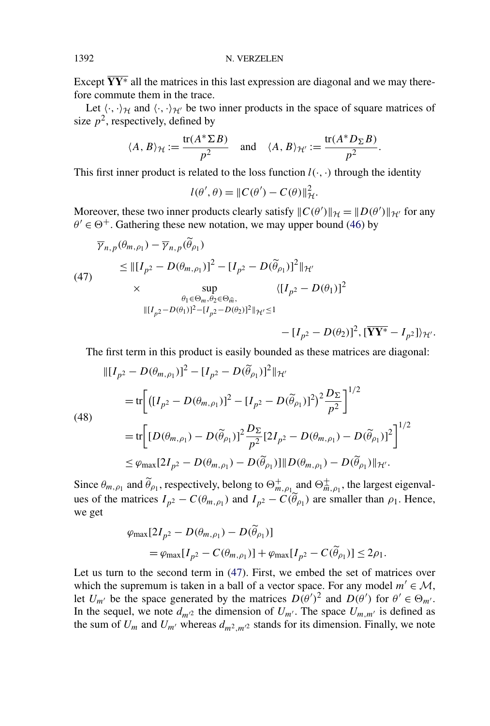Except  $\overline{YY^*}$  all the matrices in this last expression are diagonal and we may therefore commute them in the trace.

Let  $\langle \cdot, \cdot \rangle_{\mathcal{H}}$  and  $\langle \cdot, \cdot \rangle_{\mathcal{H}}$  be two inner products in the space of square matrices of size  $p^2$ , respectively, defined by

$$
\langle A, B \rangle_{\mathcal{H}} := \frac{\text{tr}(A^* \Sigma B)}{p^2}
$$
 and  $\langle A, B \rangle_{\mathcal{H'}} := \frac{\text{tr}(A^* D_{\Sigma} B)}{p^2}$ .

This first inner product is related to the loss function  $l(\cdot, \cdot)$  through the identity

$$
l(\theta', \theta) = ||C(\theta') - C(\theta)||_{\mathcal{H}}^2.
$$

Moreover, these two inner products clearly satisfy  $\|C(\theta')\|_{\mathcal{H}} = \|D(\theta')\|_{\mathcal{H}'}$  for any  $\theta' \in \Theta^+$ . Gathering these new notation, we may upper bound (46) by

$$
\overline{\gamma}_{n,p}(\theta_{m,\rho_1}) - \overline{\gamma}_{n,p}(\tilde{\theta}_{\rho_1})
$$
\n
$$
\leq ||[I_{p^2} - D(\theta_{m,\rho_1})]^2 - [I_{p^2} - D(\tilde{\theta}_{\rho_1})]^2||_{\mathcal{H}'}
$$
\n
$$
\times \sup_{\theta_1 \in \Theta_m, \theta_2 \in \Theta_{\tilde{m}}, \theta_1 \in \Theta_m, \theta_2 \in \Theta_{\tilde{m}}} \langle [I_{p^2} - D(\theta_1)]^2
$$
\n
$$
||[I_{p^2} - D(\theta_1)]^2 - [I_{p^2} - D(\theta_2)]^2||_{\mathcal{H}'} \leq 1 - [I_{p^2} - D(\theta_2)]^2, [\overline{\mathbf{YY}^*} - I_{p^2}]\rangle_{\mathcal{H}'}.
$$

The first term in this product is easily bounded as these matrices are diagonal:

$$
\begin{split} \|\left[I_{p^{2}}-D(\theta_{m,\rho_{1}})\right]^{2}-\left[I_{p^{2}}-D(\widetilde{\theta}_{\rho_{1}})\right]^{2}\|_{\mathcal{H}'}\\&=\text{tr}\bigg[\left(\left[I_{p^{2}}-D(\theta_{m,\rho_{1}})\right]^{2}-\left[I_{p^{2}}-D(\widetilde{\theta}_{\rho_{1}})\right]^{2}\right)^{2}\frac{D_{\Sigma}}{p^{2}}\bigg]^{1/2}\\&=\text{tr}\bigg[\left[D(\theta_{m,\rho_{1}})-D(\widetilde{\theta}_{\rho_{1}})\right]^{2}\frac{D_{\Sigma}}{p^{2}}\left[2I_{p^{2}}-D(\theta_{m,\rho_{1}})-D(\widetilde{\theta}_{\rho_{1}})\right]^{2}\bigg]^{1/2}\\&\leq\varphi_{\text{max}}\left[2I_{p^{2}}-D(\theta_{m,\rho_{1}})-D(\widetilde{\theta}_{\rho_{1}})\right]\|D(\theta_{m,\rho_{1}})-D(\widetilde{\theta}_{\rho_{1}})\|_{\mathcal{H}'}.\end{split}
$$

Since  $\theta_{m,\rho_1}$  and  $\widetilde{\theta}_{\rho_1}$ , respectively, belong to  $\Theta_{m,\rho_1}^+$  and  $\Theta_{m,\rho_1}^+$ , the largest eigenvalues of the matrices  $I_{p^2} - C(\theta_{m,\rho_1})$  and  $I_{p^2} - C(\widetilde{\theta}_{\rho_1})$  are smaller than  $\rho_1$ . Hence, we get

$$
\varphi_{\max}[2I_{p^2} - D(\theta_{m,\rho_1}) - D(\tilde{\theta}_{\rho_1})] \n= \varphi_{\max}[I_{p^2} - C(\theta_{m,\rho_1})] + \varphi_{\max}[I_{p^2} - C(\tilde{\theta}_{\rho_1})] \le 2\rho_1.
$$

Let us turn to the second term in (47). First, we embed the set of matrices over which the supremum is taken in a ball of a vector space. For any model  $m' \in \mathcal{M}$ , let  $U_{m'}$  be the space generated by the matrices  $D(\theta')^2$  and  $D(\theta')$  for  $\theta' \in \Theta_{m'}$ . In the sequel, we note  $d_{m/2}$  the dimension of  $U_{m'}$ . The space  $U_{m,m'}$  is defined as the sum of  $U_m$  and  $U_{m'}$  whereas  $d_{m^2,m^2}$  stands for its dimension. Finally, we note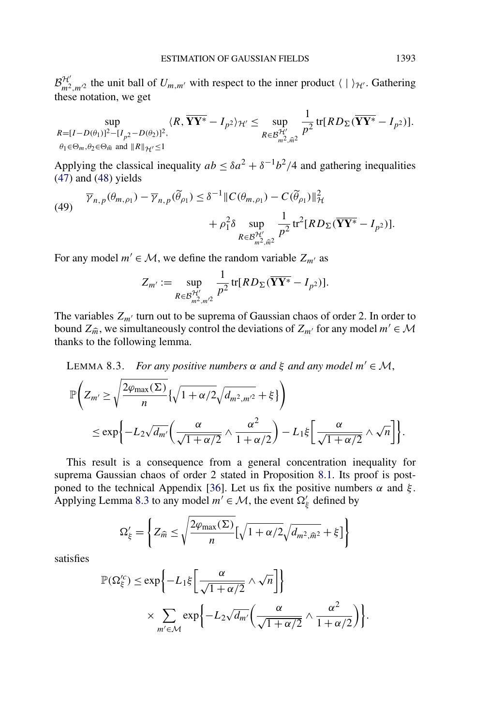$\mathcal{B}_{m^2,m^2}^{\mathcal{H}}$  the unit ball of  $U_{m,m'}$  with respect to the inner product  $\langle | \rangle_{\mathcal{H}}$ . Gathering these notation, we get

$$
\sup_{R=[I-D(\theta_1)]^2-[I_{p^2}-D(\theta_2)]^2, \atop \theta_1\in\Theta_m,\theta_2\in\Theta_{\widehat{m}} \text{ and } \|R\|_{\mathcal{H}'}\leq 1} \langle R, \overline{YY^*}-I_{p^2}\rangle_{\mathcal{H}'} \leq \sup_{R\in\mathcal{B}_{m^2,\widehat{m}^2}^{\mathcal{H}'}} \frac{1}{p^2} \text{tr}[RD_{\Sigma}(\overline{YY^*}-I_{p^2})].
$$

Applying the classical inequality  $ab \leq \delta a^2 + \delta^{-1} b^2/4$  and gathering inequalities (47) and (48) yields

(49) 
$$
\overline{\gamma}_{n,p}(\theta_{m,\rho_1}) - \overline{\gamma}_{n,p}(\widetilde{\theta}_{\rho_1}) \leq \delta^{-1} \| C(\theta_{m,\rho_1}) - C(\widetilde{\theta}_{\rho_1}) \|_{\mathcal{H}}^2 + \rho_1^2 \delta \sup_{R \in \mathcal{B}_{m^2,\widehat{m}^2}^{\mathcal{H}'}} \frac{1}{p^2} tr^2 [RD_{\Sigma}(\overline{YY^*} - I_{p^2})].
$$

For any model  $m' \in \mathcal{M}$ , we define the random variable  $Z_{m'}$  as

$$
Z_{m'} := \sup_{R \in \mathcal{B}_{m^2, m'^2}^{\mathcal{H'}}} \frac{1}{p^2} \operatorname{tr}[RD_{\Sigma}(\overline{YY^*} - I_{p^2})].
$$

The variables  $Z_{m'}$  turn out to be suprema of Gaussian chaos of order 2. In order to bound  $Z_{\hat{m}}$ , we simultaneously control the deviations of  $Z_{m'}$  for any model  $m' \in \mathcal{M}$ thanks to the following lemma.

LEMMA 8.3. *For any positive numbers*  $\alpha$  *and*  $\xi$  *and any model*  $m' \in \mathcal{M}$ , P  $\sqrt{2}$  $Z_{m'} \geq$  $\sqrt{2\varphi_{\text{max}}(\Sigma)}$ *n*  $\{\sqrt{1 + \alpha/2}\sqrt{d_{m^2,m^2}} + \xi\}$ !  $\leq \exp\left\{-L_2\sqrt{d_{m'}}\left(\frac{\alpha}{\sqrt{1+\alpha/2}}\wedge\frac{\alpha^2}{1+\alpha}\right)\right\}$  $1 + \alpha/2$  $\left(-L_1 \xi \left[\frac{\alpha}{\sqrt{1 + \alpha/2}}\right]\right)$  $\wedge \sqrt{n}$ ].

This result is a consequence from a general concentration inequality for suprema Gaussian chaos of order 2 stated in Proposition 8.1. Its proof is postponed to the technical Appendix [36]. Let us fix the positive numbers  $\alpha$  and  $\xi$ . Applying Lemma 8.3 to any model  $m' \in \mathcal{M}$ , the event  $\Omega'_\xi$  defined by

$$
\Omega'_{\xi} = \left\{ Z_{\widehat{m}} \le \sqrt{\frac{2\varphi_{\max}(\Sigma)}{n}} \left[ \sqrt{1 + \alpha/2} \sqrt{d_{m^2, \widehat{m}^2}} + \xi \right] \right\}
$$

satisfies

$$
\mathbb{P}(\Omega_{\xi}^{\prime c}) \le \exp\bigg\{-L_1\xi \bigg[\frac{\alpha}{\sqrt{1+\alpha/2}} \wedge \sqrt{n}\bigg]\bigg\}
$$
  
\$\times \sum\_{m' \in \mathcal{M}} \exp\bigg\{-L\_2\sqrt{d\_{m'}} \bigg(\frac{\alpha}{\sqrt{1+\alpha/2}} \wedge \frac{\alpha^2}{1+\alpha/2}\bigg)\bigg\}.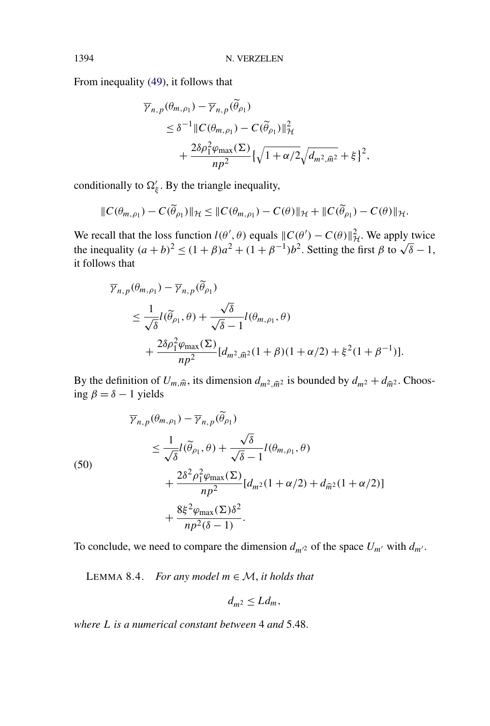$\mathbb{R}^2$ 

From inequality (49), it follows that

$$
\overline{\gamma}_{n,p}(\theta_{m,\rho_1}) - \overline{\gamma}_{n,p}(\tilde{\theta}_{\rho_1})
$$
\n
$$
\leq \delta^{-1} ||C(\theta_{m,\rho_1}) - C(\tilde{\theta}_{\rho_1})||^2_{\mathcal{H}}
$$
\n
$$
+ \frac{2\delta\rho_1^2 \varphi_{\max}(\Sigma)}{np^2} \left\{\sqrt{1 + \alpha/2} \sqrt{d_{m^2,\widehat{m}^2}} + \xi\right\}^2,
$$

conditionally to  $\Omega'_{\xi}$ . By the triangle inequality,

$$
||C(\theta_{m,\rho_1}) - C(\widetilde{\theta}_{\rho_1})||_{\mathcal{H}} \leq ||C(\theta_{m,\rho_1}) - C(\theta)||_{\mathcal{H}} + ||C(\widetilde{\theta}_{\rho_1}) - C(\theta)||_{\mathcal{H}}.
$$

We recall that the loss function  $l(\theta', \theta)$  equals  $||C(\theta') - C(\theta)||_{\mathcal{H}}^2$ . We apply twice<br>the inequality  $(a + b)^2 \le (1 + \beta)a^2 + (1 + \beta^{-1})b^2$ . Setting the first  $\beta$  to  $\sqrt{\delta} - 1$ , it follows that

$$
\overline{\gamma}_{n,p}(\theta_{m,\rho_1}) - \overline{\gamma}_{n,p}(\tilde{\theta}_{\rho_1})
$$
\n
$$
\leq \frac{1}{\sqrt{\delta}} l(\tilde{\theta}_{\rho_1}, \theta) + \frac{\sqrt{\delta}}{\sqrt{\delta} - 1} l(\theta_{m,\rho_1}, \theta)
$$
\n
$$
+ \frac{2\delta \rho_1^2 \varphi_{\max}(\Sigma)}{np^2} [d_{m^2, \widehat{m}^2}(1+\beta)(1+\alpha/2) + \xi^2(1+\beta^{-1})].
$$

By the definition of  $U_{m,\hat{m}}$ , its dimension  $d_{m^2,\hat{m}^2}$  is bounded by  $d_{m^2} + d_{\hat{m}^2}$ . Choosing *β* = *δ* − 1 yields

(50)  
\n
$$
\overline{\gamma}_{n,p}(\theta_{m,\rho_1}) - \overline{\gamma}_{n,p}(\tilde{\theta}_{\rho_1})
$$
\n
$$
\leq \frac{1}{\sqrt{\delta}} l(\tilde{\theta}_{\rho_1}, \theta) + \frac{\sqrt{\delta}}{\sqrt{\delta} - 1} l(\theta_{m,\rho_1}, \theta)
$$
\n
$$
+ \frac{2\delta^2 \rho_1^2 \varphi_{\text{max}}(\Sigma)}{np^2} [d_{m^2}(1 + \alpha/2) + d_{\tilde{m}^2}(1 + \alpha/2)]
$$
\n
$$
+ \frac{8\xi^2 \varphi_{\text{max}}(\Sigma)\delta^2}{np^2(\delta - 1)}.
$$

To conclude, we need to compare the dimension  $d_{m^2}$  of the space  $U_{m'}$  with  $d_{m'}$ .

LEMMA 8.4. *For any model*  $m \in \mathcal{M}$ , *it holds that* 

$$
d_{m^2}\leq Ld_m,
$$

*where L is a numerical constant between* 4 *and* 5.48.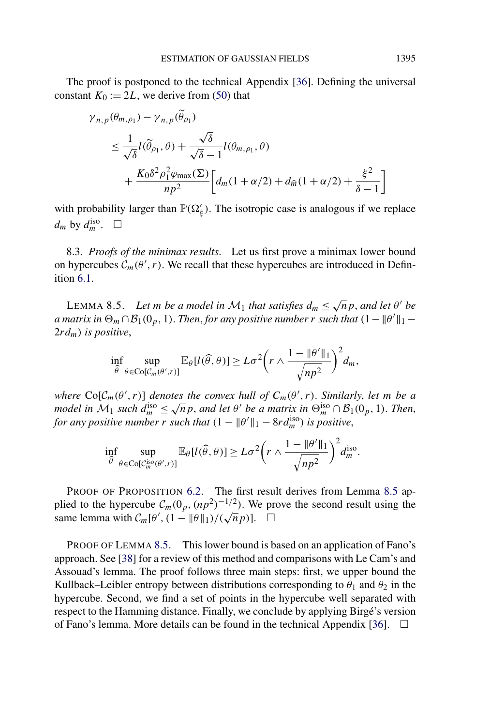The proof is postponed to the technical Appendix [36]. Defining the universal constant  $K_0 := 2L$ , we derive from (50) that

$$
\overline{\gamma}_{n,p}(\theta_{m,\rho_1}) - \overline{\gamma}_{n,p}(\widetilde{\theta}_{\rho_1})
$$
\n
$$
\leq \frac{1}{\sqrt{\delta}} l(\widetilde{\theta}_{\rho_1}, \theta) + \frac{\sqrt{\delta}}{\sqrt{\delta} - 1} l(\theta_{m,\rho_1}, \theta)
$$
\n
$$
+ \frac{K_0 \delta^2 \rho_1^2 \varphi_{\max}(\Sigma)}{np^2} \bigg[ d_m(1 + \alpha/2) + d_{\widehat{m}}(1 + \alpha/2) + \frac{\xi^2}{\delta - 1} \bigg]
$$

with probability larger than  $\mathbb{P}(\Omega'_\xi)$ . The isotropic case is analogous if we replace  $d_m$  by  $d_m^{\text{iso}}$ .  $\Box$ 

8.3. *Proofs of the minimax results*. Let us first prove a minimax lower bound on hypercubes  $C_m(\theta', r)$ . We recall that these hypercubes are introduced in Definition 6.1.

LEMMA 8.5. *Let m be a model in*  $M_1$  *that satisfies*  $d_m \leq \sqrt{n} p$ *, and let*  $\theta'$  *be a* matrix in  $\Theta_m \cap \mathcal{B}_1(0_p, 1)$ . Then, for any positive number  $r$  such that  $(1 - \|\theta'\|_1 - \theta')$ 2*rdm) is positive*,

$$
\inf_{\widehat{\theta}} \sup_{\theta \in \mathrm{Co}[\mathcal{C}_m(\theta', r)]} \mathbb{E}_{\theta}[l(\widehat{\theta}, \theta)] \geq L\sigma^2 \bigg(r \wedge \frac{1 - \|\theta'\|_1}{\sqrt{np^2}}\bigg)^2 d_m,
$$

*where*  $\text{Co}[\mathcal{C}_m(\theta', r)]$  *denotes the convex hull of*  $C_m(\theta', r)$ *. Similarly, let m be a model in*  $M_1$  *such*  $d_m^{\text{iso}} \leq \sqrt{n} p$ , *and let*  $\theta'$  *be a matrix in*  $\Theta_m^{\text{iso}} \cap B_1(0_p, 1)$ *. Then*, *for any positive number r such that*  $(1 - ||\theta'||_1 - 8rd_m^{\text{iso}})$  *is positive*,

$$
\inf_{\widehat{\theta}} \sup_{\theta \in \text{Co}[\mathcal{C}_m^{\text{iso}}(\theta',r)]} \mathbb{E}_{\theta}[l(\widehat{\theta},\theta)] \geq L\sigma^2 \bigg(r \wedge \frac{1 - \|\theta'\|_1}{\sqrt{np^2}}\bigg)^2 d_m^{\text{iso}}.
$$

PROOF OF PROPOSITION 6.2. The first result derives from Lemma 8.5 applied to the hypercube  $C_m(0_p, (np^2)^{-1/2})$ . We prove the second result using the  $\lim_{m \to \infty} \int_0^{\infty} \frac{\mu}{m} \exp\left(\frac{m(n-p)}{n} + \frac{n}{p}\right) dx$ <br>
same lemma with  $C_m[\theta', (1 - \|\theta\|_1)/(\sqrt{n}p)]$ .  $\square$ 

PROOF OF LEMMA 8.5. This lower bound is based on an application of Fano's approach. See [38] for a review of this method and comparisons with Le Cam's and Assouad's lemma. The proof follows three main steps: first, we upper bound the Kullback–Leibler entropy between distributions corresponding to  $\theta_1$  and  $\theta_2$  in the hypercube. Second, we find a set of points in the hypercube well separated with respect to the Hamming distance. Finally, we conclude by applying Birgé's version of Fano's lemma. More details can be found in the technical Appendix [36].  $\Box$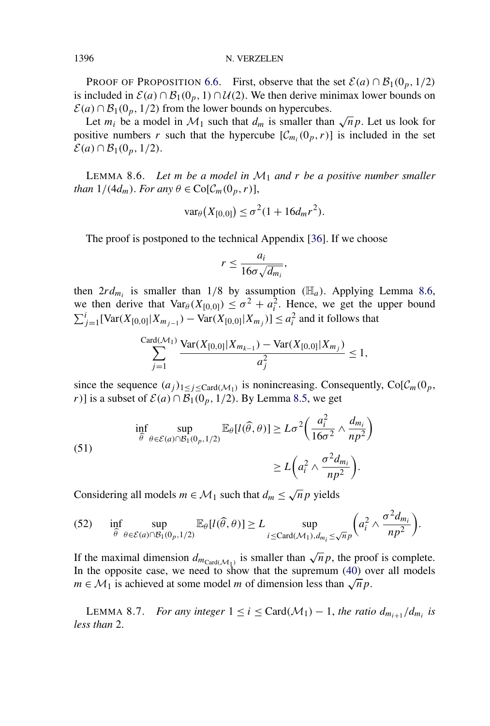1396 N. VERZELEN

PROOF OF PROPOSITION 6.6. First, observe that the set  $\mathcal{E}(a) \cap \mathcal{B}_1(0_p, 1/2)$ is included in  $\mathcal{E}(a) \cap \mathcal{B}_1(0_p, 1) \cap \mathcal{U}(2)$ . We then derive minimax lower bounds on  $\mathcal{E}(a) \cap \mathcal{B}_1(0_p, 1/2)$  from the lower bounds on hypercubes.

Let  $m_i$  be a model in  $\mathcal{M}_1$  such that  $d_m$  is smaller than  $\sqrt{n} p$ . Let us look for positive numbers *r* such that the hypercube  $[\mathcal{C}_{m_i}(0_p, r)]$  is included in the set  $\mathcal{E}(a)$  ∩  $\mathcal{B}_1(0_p, 1/2)$ .

LEMMA 8.6. *Let m be a model in* M<sup>1</sup> *and r be a positive number smaller than*  $1/(4d_m)$ *. For any*  $\theta \in \text{Co}[\mathcal{C}_m(0_p, r)]$ ,

$$
\text{var}_{\theta}(X_{[0,0]}) \leq \sigma^2 (1 + 16d_m r^2).
$$

The proof is postponed to the technical Appendix [36]. If we choose

$$
r \leq \frac{a_i}{16\sigma\sqrt{d_{m_i}}},
$$

then  $2r d_{m_i}$  is smaller than  $1/8$  by assumption *(H<sub>a</sub>)*. Applying Lemma 8.6, we then derive that  $\text{Var}_{\theta}(X_{[0,0]}) \leq \sigma^2 + a_i^2$ . Hence, we get the upper bound  $\sum_{j=1}^{i}$ [Var $(X_{[0,0]}|X_{m_{j-1}})$  − Var $(X_{[0,0]}|X_{m_j})$ ] ≤  $a_i^2$  and it follows that

$$
\sum_{j=1}^{\text{Card}(\mathcal{M}_1)} \frac{\text{Var}(X_{[0,0]}|X_{m_{k-1}}) - \text{Var}(X_{[0,0]}|X_{m_j})}{a_j^2} \le 1,
$$

since the sequence  $(a_j)_{1 \leq j \leq \text{Card}(\mathcal{M}_1)}$  is nonincreasing. Consequently,  $\text{Co}[\mathcal{C}_m(0_p,$ *r*)] is a subset of  $\mathcal{E}(a) \cap \mathcal{B}_1(0_p, 1/2)$ . By Lemma 8.5, we get

(51)  
\n
$$
\inf_{\widehat{\theta}} \sup_{\theta \in \mathcal{E}(a) \cap \mathcal{B}_1(0_p, 1/2)} \mathbb{E}_{\theta}[l(\widehat{\theta}, \theta)] \ge L\sigma^2 \left(\frac{a_i^2}{16\sigma^2} \wedge \frac{d_{m_i}}{np^2}\right)
$$
\n
$$
\ge L\left(a_i^2 \wedge \frac{\sigma^2 d_{m_i}}{np^2}\right).
$$

Considering all models  $m \in \mathcal{M}_1$  such that  $d_m \leq \sqrt{n} p$  yields

(52) 
$$
\inf_{\widehat{\theta}} \sup_{\theta \in \mathcal{E}(a) \cap \mathcal{B}_1(0_p, 1/2)} \mathbb{E}_{\theta}[l(\widehat{\theta}, \theta)] \ge L \sup_{i \le \text{Card}(\mathcal{M}_1), d_{m_i} \le \sqrt{n}p} \bigg(a_i^2 \wedge \frac{\sigma^2 d_{m_i}}{np^2}\bigg).
$$

If the maximal dimension  $d_{m_{\text{Card}(\mathcal{M}_1)}}$  is smaller than  $\sqrt{n}p$ , the proof is complete. In the opposite case, we need to show that the supremum (40) over all models *m* ∈  $M_1$  is achieved at some model *m* of dimension less than  $\sqrt{n} p$ .

LEMMA 8.7. *For any integer*  $1 \le i \le \text{Card}(\mathcal{M}_1) - 1$ , *the ratio*  $d_{m_{i+1}}/d_{m_i}$  *is less than* 2.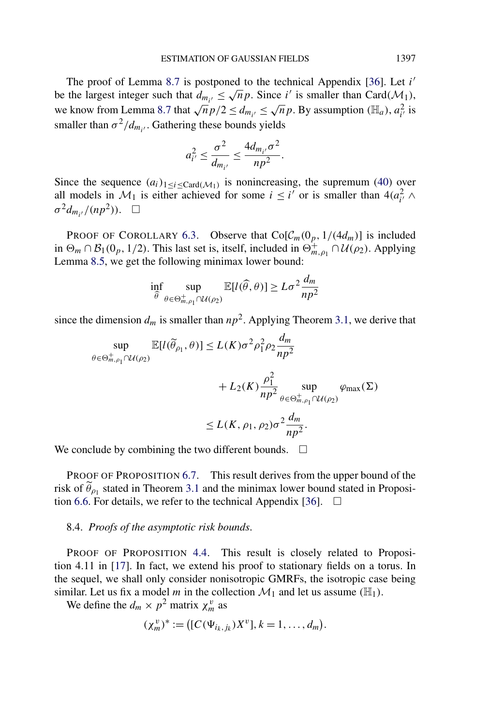The proof of Lemma 8.7 is postponed to the technical Appendix [36]. Let *i* The proof of Lemma 8.7 is postponed to the technical Appendix [50]. Let *t* be the largest integer such that  $d_{m_{i'}} \leq \sqrt{n} p$ . Since *i'* is smaller than Card( $\mathcal{M}_1$ ), we know from Lemma 8.7 that  $\sqrt{n} p/2 \le d_{m_{i'}} \le \sqrt{n} p$ . By assumption  $(\mathbb{H}_a)$ ,  $a_{i'}^2$  is smaller than  $\sigma^2/d_{m_{i'}}$ . Gathering these bounds yields

$$
a_{i'}^2 \leq \frac{\sigma^2}{d_{m_{i'}}} \leq \frac{4d_{m_{i'}}\sigma^2}{np^2}.
$$

Since the sequence  $(a_i)_{1 \leq i \leq \text{Card}(\mathcal{M}_1)}$  is nonincreasing, the supremum (40) over all models in  $\mathcal{M}_1$  is either achieved for some  $i \leq i'$  or is smaller than  $4(a_i^2) \wedge a_i^2$  $\sigma^2 d_{m_{i'}}/(np^2)$ ).  $\Box$ 

PROOF OF COROLLARY 6.3. Observe that  $\text{Co}[\mathcal{C}_m(0_p, 1/(4d_m))]$  is included in  $\Theta_m \cap \mathcal{B}_1(0_p, 1/2)$ . This last set is, itself, included in  $\Theta_{m,\rho_1}^+ \cap \mathcal{U}(\rho_2)$ . Applying Lemma 8.5, we get the following minimax lower bound:

$$
\inf_{\widehat{\theta}} \sup_{\theta \in \Theta_{m,\rho_1}^+ \cap \mathcal{U}(\rho_2)} \mathbb{E}[l(\widehat{\theta}, \theta)] \ge L\sigma^2 \frac{d_m}{np^2}
$$

since the dimension  $d_m$  is smaller than  $np^2$ . Applying Theorem 3.1, we derive that

$$
\sup_{\theta \in \Theta_{m,\rho_1}^+ \cap \mathcal{U}(\rho_2)} \mathbb{E}[l(\widetilde{\theta}_{\rho_1}, \theta)] \le L(K)\sigma^2 \rho_1^2 \rho_2 \frac{d_m}{np^2} + L_2(K) \frac{\rho_1^2}{np^2} \sup_{\theta \in \Theta_{m,\rho_1}^+ \cap \mathcal{U}(\rho_2)} \varphi_{\max}(\Sigma)
$$
  

$$
\le L(K, \rho_1, \rho_2) \sigma^2 \frac{d_m}{np^2}.
$$

We conclude by combining the two different bounds.  $\Box$ 

PROOF OF PROPOSITION 6.7. This result derives from the upper bound of the risk of  $\tilde{\theta}_{\rho_1}$  stated in Theorem 3.1 and the minimax lower bound stated in Proposition 6.6. For details, we refer to the technical Appendix [36].  $\Box$ 

### 8.4. *Proofs of the asymptotic risk bounds*.

PROOF OF PROPOSITION 4.4. This result is closely related to Proposition 4.11 in [17]. In fact, we extend his proof to stationary fields on a torus. In the sequel, we shall only consider nonisotropic GMRFs, the isotropic case being similar. Let us fix a model *m* in the collection  $\mathcal{M}_1$  and let us assume  $(\mathbb{H}_1)$ .

We define the  $d_m \times p^2$  matrix  $\chi_m^v$  as

$$
(\chi_m^v)^* := ([C(\Psi_{i_k,j_k})X^v], k = 1, ..., d_m).
$$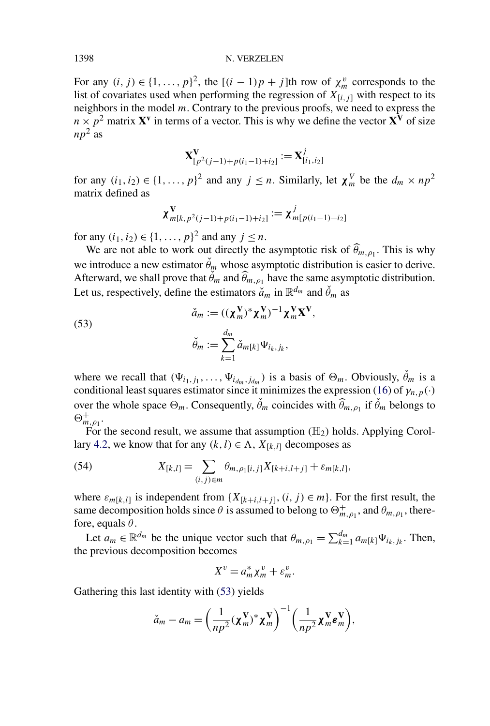#### 1398 N. VERZELEN

For any  $(i, j) \in \{1, ..., p\}^2$ , the  $[(i - 1)p + j]$ th row of  $\chi_m^v$  corresponds to the list of covariates used when performing the regression of  $X_{[i,j]}$  with respect to its neighbors in the model *m*. Contrary to the previous proofs, we need to express the  $n \times p^2$  matrix **X**<sup>**v** in terms of a vector. This is why we define the vector **X**<sup>**V**</sup> of size</sup>  $np^2$  as

$$
\mathbf{X}_{[p^2(j-1)+p(i_1-1)+i_2]}^{\mathbf{V}} := \mathbf{X}_{[i_1,i_2]}^j
$$

for any  $(i_1, i_2) \in \{1, \ldots, p\}^2$  and any  $j \leq n$ . Similarly, let  $\chi_m^V$  be the  $d_m \times np^2$ matrix defined as

$$
\chi^{\mathbf{V}}_{m[k,p^2(j-1)+p(i_1-1)+i_2]} := \chi^j_{m[p(i_1-1)+i_2]}
$$

for any  $(i_1, i_2) \in \{1, ..., p\}^2$  and any  $j \leq n$ .

We are not able to work out directly the asymptotic risk of  $\theta_{m,p_1}$ . This is why we introduce a new estimator  $\check{\theta}_m$  whose asymptotic distribution is easier to derive. Afterward, we shall prove that  $\hat{\theta}_m$  and  $\hat{\theta}_{m,\rho_1}$  have the same asymptotic distribution. Let us, respectively, define the estimators  $\check{a}_m$  in  $\mathbb{R}^{d_m}$  and  $\check{\theta}_m$  as

(53)  

$$
\check{a}_m := ((\chi_m^{\mathbf{V}})^* \chi_m^{\mathbf{V}})^{-1} \chi_m^{\mathbf{V}} \mathbf{X}^{\mathbf{V}},
$$

$$
\check{\theta}_m := \sum_{k=1}^{d_m} \check{a}_{m[k]} \Psi_{i_k, j_k},
$$

where we recall that  $(\Psi_{i_1,j_1}, \ldots, \Psi_{i_{dm},j_{dm}})$  is a basis of  $\Theta_m$ . Obviously,  $\check{\theta}_m$  is a conditional least squares estimator since it minimizes the expression (16) of  $\gamma_{n,p}(\cdot)$ over the whole space  $\Theta_m$ . Consequently,  $\check{\theta}_m$  coincides with  $\widehat{\theta}_{m,\rho_1}$  if  $\check{\theta}_m$  belongs to  $\Theta_{m,\rho_1}^+$ .

For the second result, we assume that assumption  $(H_2)$  holds. Applying Corollary 4.2, we know that for any  $(k, l) \in \Lambda$ ,  $X_{[k,l]}$  decomposes as

(54) 
$$
X_{[k,l]} = \sum_{(i,j)\in m} \theta_{m,\rho_1[i,j]} X_{[k+i,l+j]} + \varepsilon_{m[k,l]},
$$

where  $\varepsilon_{m[k,l]}$  is independent from  $\{X_{[k+i,l+j]}, (i,j) \in m\}$ . For the first result, the same decomposition holds since  $\theta$  is assumed to belong to  $\Theta_{m,\rho_1}^+$ , and  $\theta_{m,\rho_1}$ , therefore, equals *θ*.

Let  $a_m \in \mathbb{R}^{d_m}$  be the unique vector such that  $\theta_{m,\rho_1} = \sum_{k=1}^{d_m} a_{m[k]} \Psi_{i_k,j_k}$ . Then, the previous decomposition becomes

$$
X^v = a_m^* \chi_m^v + \varepsilon_m^v.
$$

Gathering this last identity with (53) yields

$$
\check{a}_m - a_m = \left(\frac{1}{np^2}(\boldsymbol{\chi}_m^{\mathbf{V}})^* \boldsymbol{\chi}_m^{\mathbf{V}}\right)^{-1} \left(\frac{1}{np^2} \boldsymbol{\chi}_m^{\mathbf{V}} \boldsymbol{\varepsilon}_m^{\mathbf{V}}\right),
$$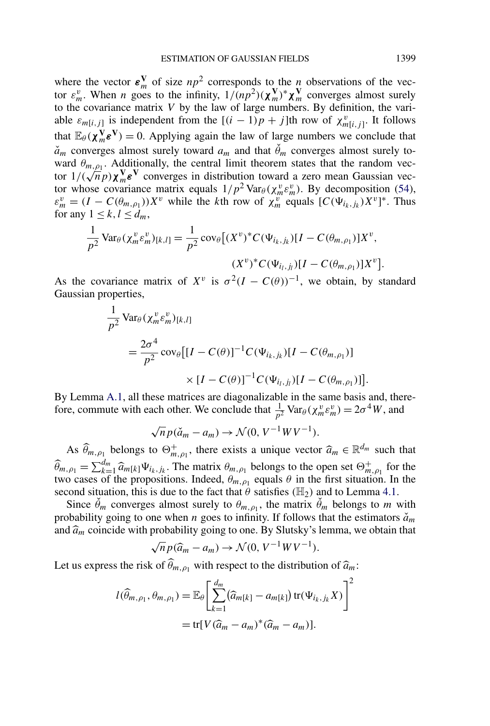where the vector  $\epsilon_m^V$  of size  $np^2$  corresponds to the *n* observations of the vector  $\varepsilon_m^v$ . When *n* goes to the infinity,  $1/(np^2)(\chi_m^V)^* \chi_m^V$  converges almost surely to the covariance matrix *V* by the law of large numbers. By definition, the variable  $\varepsilon_{m[i,j]}$  is independent from the  $[(i-1)p+j]$ th row of  $\chi_{m[i,j]}^v$ . It follows that  $\mathbb{E}_{\theta}(\chi_m^{\mathbf{V}} \mathbf{\varepsilon}^{\mathbf{V}}) = 0$ . Applying again the law of large numbers we conclude that  $\check{a}_m$  converges almost surely toward  $a_m$  and that  $\check{\theta}_m$  converges almost surely toward  $\theta_{m,\rho_1}$ . Additionally, the central limit theorem states that the random vecward  $\theta_{m,\rho_1}$ . Additionally, the central finite integreent states that the random vector  $1/(\sqrt{n}p)\chi_m^V\epsilon^V$  converges in distribution toward a zero mean Gaussian vector tor whose covariance matrix equals  $1/p^2 \text{Var}_{\theta}(\chi_m^v \varepsilon_m^v)$ . By decomposition (54),  $\varepsilon_m^v = (I - C(\theta_{m,\rho_1}))X^v$  while the *k*th row of  $\chi_m^v$  equals  $[C(\Psi_{i_k,j_k})X^v]^*$ . Thus for any  $1 \leq k, l \leq d_m$ ,

$$
\frac{1}{p^2} \text{Var}_{\theta}(\chi_m^v \varepsilon_m^v)_{[k,l]} = \frac{1}{p^2} \text{cov}_{\theta}[(X^v)^* C(\Psi_{i_k,j_k})[I - C(\theta_{m,\rho_1})]X^v,
$$

$$
(X^v)^* C(\Psi_{i_l,j_l})[I - C(\theta_{m,\rho_1})]X^v].
$$

As the covariance matrix of  $X^v$  is  $\sigma^2(I - C(\theta))^{-1}$ , we obtain, by standard Gaussian properties,

$$
\frac{1}{p^2} \text{Var}_{\theta}(\chi_m^v \varepsilon_m^v)_{[k,l]}
$$
\n
$$
= \frac{2\sigma^4}{p^2} \text{cov}_{\theta} \big[ [I - C(\theta)]^{-1} C(\Psi_{i_k,j_k}) [I - C(\theta_{m,\rho_1})] \big] \times [I - C(\theta)]^{-1} C(\Psi_{i_l,j_l}) [I - C(\theta_{m,\rho_1})] \big].
$$

By Lemma A.1, all these matrices are diagonalizable in the same basis and, therefore, commute with each other. We conclude that  $\frac{1}{p^2} \text{Var}_{\theta}(\chi_m^v \varepsilon_m^v) = 2\sigma^4 W$ , and

$$
\sqrt{n} p(\check{a}_m - a_m) \to \mathcal{N}(0, V^{-1} W V^{-1}).
$$

As  $\widehat{\theta}_{m,\rho_1}$  belongs to  $\Theta^+_{m,\rho_1}$ , there exists a unique vector  $\widehat{a}_m \in \mathbb{R}^{d_m}$  such that  $\widehat{\theta}_{m,\rho_1} = \sum_{k=1}^{d_m}$  $\frac{d_m}{k-1} \widehat{a}_{m[k]} \Psi_{i_k,j_k}$ . The matrix  $\theta_{m,\rho_1}$  belongs to the open set  $\Theta_{m,\rho_1}^+$  for the two cases of the propositions. Indeed,  $\theta_{m,\rho_1}$  equals  $\theta$  in the first situation. In the second situation, this is due to the fact that  $\theta$  satisfies ( $\mathbb{H}_2$ ) and to Lemma 4.1.

Since  $\check{\theta}_m$  converges almost surely to  $\theta_{m,\rho_1}$ , the matrix  $\check{\theta}_m$  belongs to *m* with probability going to one when *n* goes to infinity. If follows that the estimators  $\check{a}_m$ and  $\widehat{a}_m$  coincide with probability going to one. By Slutsky's lemma, we obtain that

$$
\sqrt{n}p(\widehat{a}_m - a_m) \to \mathcal{N}(0, V^{-1}WV^{-1}).
$$

Let us express the risk of  $\hat{\theta}_{m,\rho_1}$  with respect to the distribution of  $\hat{a}_m$ :

$$
l(\widehat{\theta}_{m,\rho_1},\theta_{m,\rho_1}) = \mathbb{E}_{\theta} \left[ \sum_{k=1}^{d_m} (\widehat{a}_{m[k]} - a_{m[k]}) \operatorname{tr}(\Psi_{i_k,j_k} X) \right]^2
$$

$$
= \operatorname{tr}[V(\widehat{a}_m - a_m)^*(\widehat{a}_m - a_m)].
$$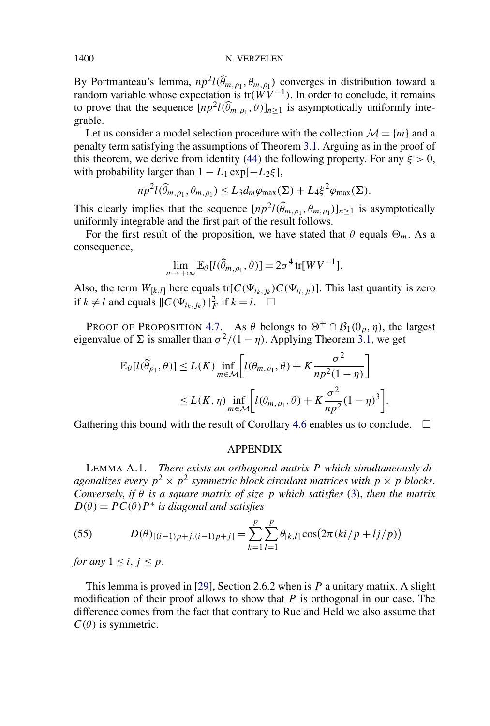#### 1400 N. VERZELEN

By Portmanteau's lemma,  $np^2 l(\hat{\theta}_{m,\rho_1}, \theta_{m,\rho_1})$  converges in distribution toward a random variable whose expectation is  $tr(WV^{-1})$ . In order to conclude, it remains to prove that the sequence  $[np^2 l(\hat{\theta}_{m,\rho_1}, \theta)]_{n \geq 1}$  is asymptotically uniformly integrable.

Let us consider a model selection procedure with the collection  $\mathcal{M} = \{m\}$  and a penalty term satisfying the assumptions of Theorem 3.1. Arguing as in the proof of this theorem, we derive from identity (44) the following property. For any  $\xi > 0$ , with probability larger than  $1 - L_1 \exp[-L_2 \xi]$ ,

$$
np^{2}l(\widehat{\theta}_{m,\rho_1},\theta_{m,\rho_1})\leq L_3d_m\varphi_{\max}(\Sigma)+L_4\xi^2\varphi_{\max}(\Sigma).
$$

This clearly implies that the sequence  $[np^2 l(\hat{\theta}_{m,\rho_1}, \theta_{m,\rho_1})]_{n \geq 1}$  is asymptotically uniformly integrable and the first part of the result follows.

For the first result of the proposition, we have stated that  $\theta$  equals  $\Theta_m$ . As a consequence,

$$
\lim_{n\to+\infty}\mathbb{E}_{\theta}[l(\widehat{\theta}_{m,\rho_1},\theta)]=2\sigma^4\,\text{tr}[W V^{-1}].
$$

Also, the term  $W_{[k,l]}$  here equals tr[ $C(\Psi_{i_k,j_k})C(\Psi_{i_l,j_l})$ ]. This last quantity is zero if  $k \neq l$  and equals  $||C(\Psi_{i_k,j_k})||_F^2$  if  $k = l$ .  $\Box$ 

PROOF OF PROPOSITION 4.7. As  $\theta$  belongs to  $\Theta^+ \cap \mathcal{B}_1(0_p, \eta)$ , the largest eigenvalue of  $\Sigma$  is smaller than  $\sigma^2/(1 - \eta)$ . Applying Theorem 3.1, we get

$$
\mathbb{E}_{\theta}[l(\widetilde{\theta}_{\rho_1}, \theta)] \le L(K) \inf_{m \in \mathcal{M}} \left[ l(\theta_{m, \rho_1}, \theta) + K \frac{\sigma^2}{np^2(1-\eta)} \right]
$$
  
 
$$
\le L(K, \eta) \inf_{m \in \mathcal{M}} \left[ l(\theta_{m, \rho_1}, \theta) + K \frac{\sigma^2}{np^2}(1-\eta)^3 \right].
$$

Gathering this bound with the result of Corollary 4.6 enables us to conclude.  $\Box$ 

#### APPENDIX

LEMMA A.1. *There exists an orthogonal matrix P which simultaneously diagonalizes every*  $p^2 \times p^2$  *symmetric block circulant matrices with*  $p \times p$  *blocks. Conversely*, *if θ is a square matrix of size p which satisfies* (3), *then the matrix*  $D(\theta) = PC(\theta)P^*$  *is diagonal and satisfies* 

(55) 
$$
D(\theta)_{[(i-1)p+j,(i-1)p+j]} = \sum_{k=1}^{p} \sum_{l=1}^{p} \theta_{[k,l]} \cos(2\pi (ki/p + lj/p))
$$

*for any*  $1 \leq i, j \leq p$ .

This lemma is proved in [29], Section 2.6.2 when is *P* a unitary matrix. A slight modification of their proof allows to show that *P* is orthogonal in our case. The difference comes from the fact that contrary to Rue and Held we also assume that  $C(\theta)$  is symmetric.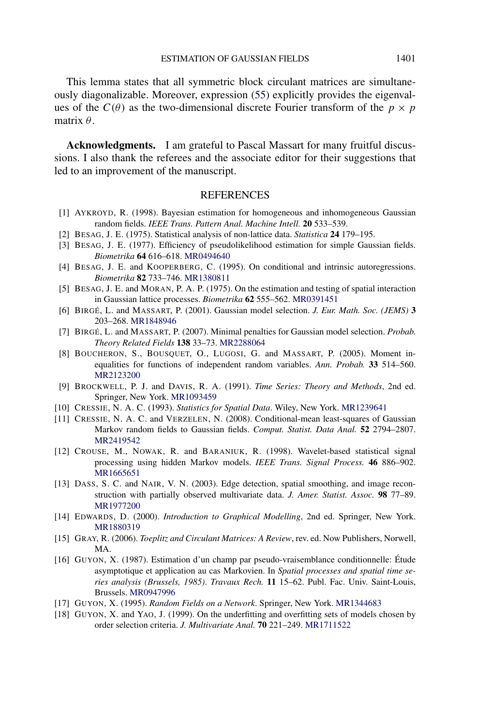This lemma states that all symmetric block circulant matrices are simultaneously diagonalizable. Moreover, expression (55) explicitly provides the eigenvalues of the  $C(\theta)$  as the two-dimensional discrete Fourier transform of the  $p \times p$ matrix *θ*.

**Acknowledgments.** I am grateful to Pascal Massart for many fruitful discussions. I also thank the referees and the associate editor for their suggestions that led to an improvement of the manuscript.

### REFERENCES

- [1] AYKROYD, R. (1998). Bayesian estimation for homogeneous and inhomogeneous Gaussian random fields. *IEEE Trans. Pattern Anal. Machine Intell.* **20** 533–539.
- [2] BESAG, J. E. (1975). Statistical analysis of non-lattice data. *Statistica* **24** 179–195.
- [3] BESAG, J. E. (1977). Efficiency of pseudolikelihood estimation for simple Gaussian fields. *Biometrika* **64** 616–618. [MR0494640](http://www.ams.org/mathscinet-getitem?mr=0494640)
- [4] BESAG, J. E. and KOOPERBERG, C. (1995). On conditional and intrinsic autoregressions. *Biometrika* **82** 733–746. [MR1380811](http://www.ams.org/mathscinet-getitem?mr=1380811)
- [5] BESAG, J. E. and MORAN, P. A. P. (1975). On the estimation and testing of spatial interaction in Gaussian lattice processes. *Biometrika* **62** 555–562. [MR0391451](http://www.ams.org/mathscinet-getitem?mr=0391451)
- [6] BIRGÉ, L. and MASSART, P. (2001). Gaussian model selection. *J. Eur. Math. Soc. (JEMS)* **3** 203–268. [MR1848946](http://www.ams.org/mathscinet-getitem?mr=1848946)
- [7] BIRGÉ, L. and MASSART, P. (2007). Minimal penalties for Gaussian model selection. *Probab. Theory Related Fields* **138** 33–73. [MR2288064](http://www.ams.org/mathscinet-getitem?mr=2288064)
- [8] BOUCHERON, S., BOUSQUET, O., LUGOSI, G. and MASSART, P. (2005). Moment inequalities for functions of independent random variables. *Ann. Probab.* **33** 514–560. [MR2123200](http://www.ams.org/mathscinet-getitem?mr=2123200)
- [9] BROCKWELL, P. J. and DAVIS, R. A. (1991). *Time Series: Theory and Methods*, 2nd ed. Springer, New York. [MR1093459](http://www.ams.org/mathscinet-getitem?mr=1093459)
- [10] CRESSIE, N. A. C. (1993). *Statistics for Spatial Data*. Wiley, New York. [MR1239641](http://www.ams.org/mathscinet-getitem?mr=1239641)
- [11] CRESSIE, N. A. C. and VERZELEN, N. (2008). Conditional-mean least-squares of Gaussian Markov random fields to Gaussian fields. *Comput. Statist. Data Anal.* **52** 2794–2807. [MR2419542](http://www.ams.org/mathscinet-getitem?mr=2419542)
- [12] CROUSE, M., NOWAK, R. and BARANIUK, R. (1998). Wavelet-based statistical signal processing using hidden Markov models. *IEEE Trans. Signal Process.* **46** 886–902. [MR1665651](http://www.ams.org/mathscinet-getitem?mr=1665651)
- [13] DASS, S. C. and NAIR, V. N. (2003). Edge detection, spatial smoothing, and image reconstruction with partially observed multivariate data. *J. Amer. Statist. Assoc.* **98** 77–89. [MR1977200](http://www.ams.org/mathscinet-getitem?mr=1977200)
- [14] EDWARDS, D. (2000). *Introduction to Graphical Modelling*, 2nd ed. Springer, New York. [MR1880319](http://www.ams.org/mathscinet-getitem?mr=1880319)
- [15] GRAY, R. (2006). *Toeplitz and Circulant Matrices: A Review*, rev. ed. Now Publishers, Norwell, MA.
- [16] GUYON, X. (1987). Estimation d'un champ par pseudo-vraisemblance conditionnelle: Étude asymptotique et application au cas Markovien. In *Spatial processes and spatial time series analysis (Brussels, 1985)*. *Travaux Rech.* **11** 15–62. Publ. Fac. Univ. Saint-Louis, Brussels. [MR0947996](http://www.ams.org/mathscinet-getitem?mr=0947996)
- [17] GUYON, X. (1995). *Random Fields on a Network*. Springer, New York. [MR1344683](http://www.ams.org/mathscinet-getitem?mr=1344683)
- [18] GUYON, X. and YAO, J. (1999). On the underfitting and overfitting sets of models chosen by order selection criteria. *J. Multivariate Anal.* **70** 221–249. [MR1711522](http://www.ams.org/mathscinet-getitem?mr=1711522)